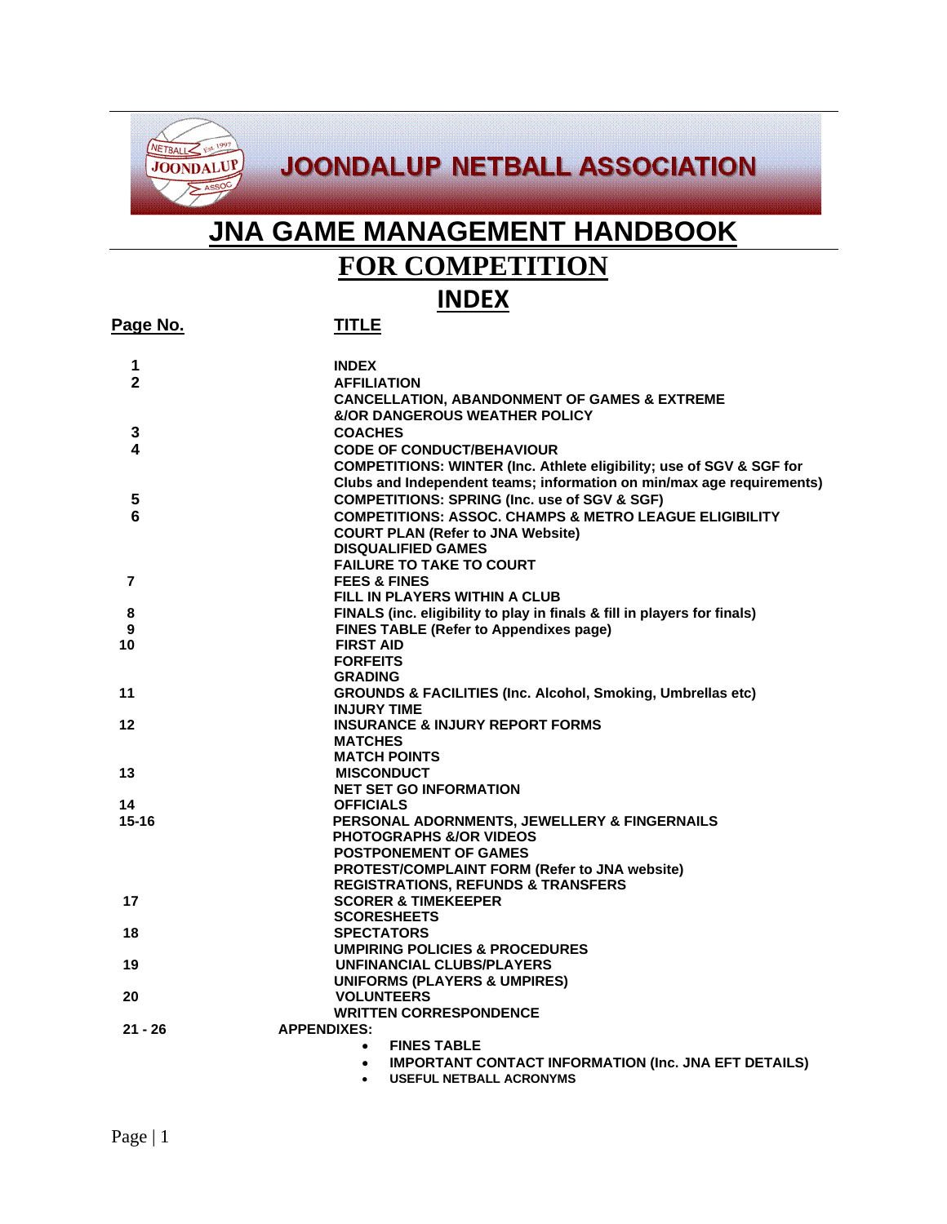

# **JOONDALUP NETBALL ASSOCIATION**

# **JNA GAME MANAGEMENT HANDBOOK**

# **FOR COMPETITION**

## **INDEX**

**Page No. TITLE**

| 1            | <b>INDEX</b>                                                                    |
|--------------|---------------------------------------------------------------------------------|
| $\mathbf{2}$ | <b>AFFILIATION</b>                                                              |
|              | <b>CANCELLATION, ABANDONMENT OF GAMES &amp; EXTREME</b>                         |
|              | <b>&amp;/OR DANGEROUS WEATHER POLICY</b>                                        |
| 3            | <b>COACHES</b>                                                                  |
| 4            | <b>CODE OF CONDUCT/BEHAVIOUR</b>                                                |
|              | COMPETITIONS: WINTER (Inc. Athlete eligibility; use of SGV & SGF for            |
|              | Clubs and Independent teams; information on min/max age requirements)           |
| 5            | <b>COMPETITIONS: SPRING (Inc. use of SGV &amp; SGF)</b>                         |
| 6            | <b>COMPETITIONS: ASSOC. CHAMPS &amp; METRO LEAGUE ELIGIBILITY</b>               |
|              | <b>COURT PLAN (Refer to JNA Website)</b>                                        |
|              | <b>DISQUALIFIED GAMES</b>                                                       |
|              | <b>FAILURE TO TAKE TO COURT</b>                                                 |
| 7            | <b>FEES &amp; FINES</b>                                                         |
|              | FILL IN PLAYERS WITHIN A CLUB                                                   |
| 8            | FINALS (inc. eligibility to play in finals & fill in players for finals)        |
| 9            | <b>FINES TABLE (Refer to Appendixes page)</b>                                   |
| 10           | <b>FIRST AID</b>                                                                |
|              | <b>FORFEITS</b>                                                                 |
|              | <b>GRADING</b>                                                                  |
| 11           | <b>GROUNDS &amp; FACILITIES (Inc. Alcohol, Smoking, Umbrellas etc)</b>          |
|              | <b>INJURY TIME</b>                                                              |
| 12           | <b>INSURANCE &amp; INJURY REPORT FORMS</b>                                      |
|              | <b>MATCHES</b>                                                                  |
|              | <b>MATCH POINTS</b>                                                             |
| 13           | <b>MISCONDUCT</b>                                                               |
|              | <b>NET SET GO INFORMATION</b>                                                   |
| 14           | <b>OFFICIALS</b>                                                                |
| $15 - 16$    | PERSONAL ADORNMENTS, JEWELLERY & FINGERNAILS                                    |
|              | <b>PHOTOGRAPHS &amp;/OR VIDEOS</b>                                              |
|              | <b>POSTPONEMENT OF GAMES</b>                                                    |
|              | PROTEST/COMPLAINT FORM (Refer to JNA website)                                   |
| 17           | <b>REGISTRATIONS, REFUNDS &amp; TRANSFERS</b><br><b>SCORER &amp; TIMEKEEPER</b> |
|              | <b>SCORESHEETS</b>                                                              |
| 18           | <b>SPECTATORS</b>                                                               |
|              | <b>UMPIRING POLICIES &amp; PROCEDURES</b>                                       |
| 19           | <b>UNFINANCIAL CLUBS/PLAYERS</b>                                                |
|              | <b>UNIFORMS (PLAYERS &amp; UMPIRES)</b>                                         |
| 20           | <b>VOLUNTEERS</b>                                                               |
|              | <b>WRITTEN CORRESPONDENCE</b>                                                   |
| $21 - 26$    | <b>APPENDIXES:</b>                                                              |
|              | <b>FINES TABLE</b><br>$\bullet$                                                 |
|              | <b>IMPORTANT CONTACT INFORMATION (Inc. JNA EFT DETAILS)</b><br>$\bullet$        |
|              | <b>USEFUL NETBALL ACRONYMS</b><br>$\bullet$                                     |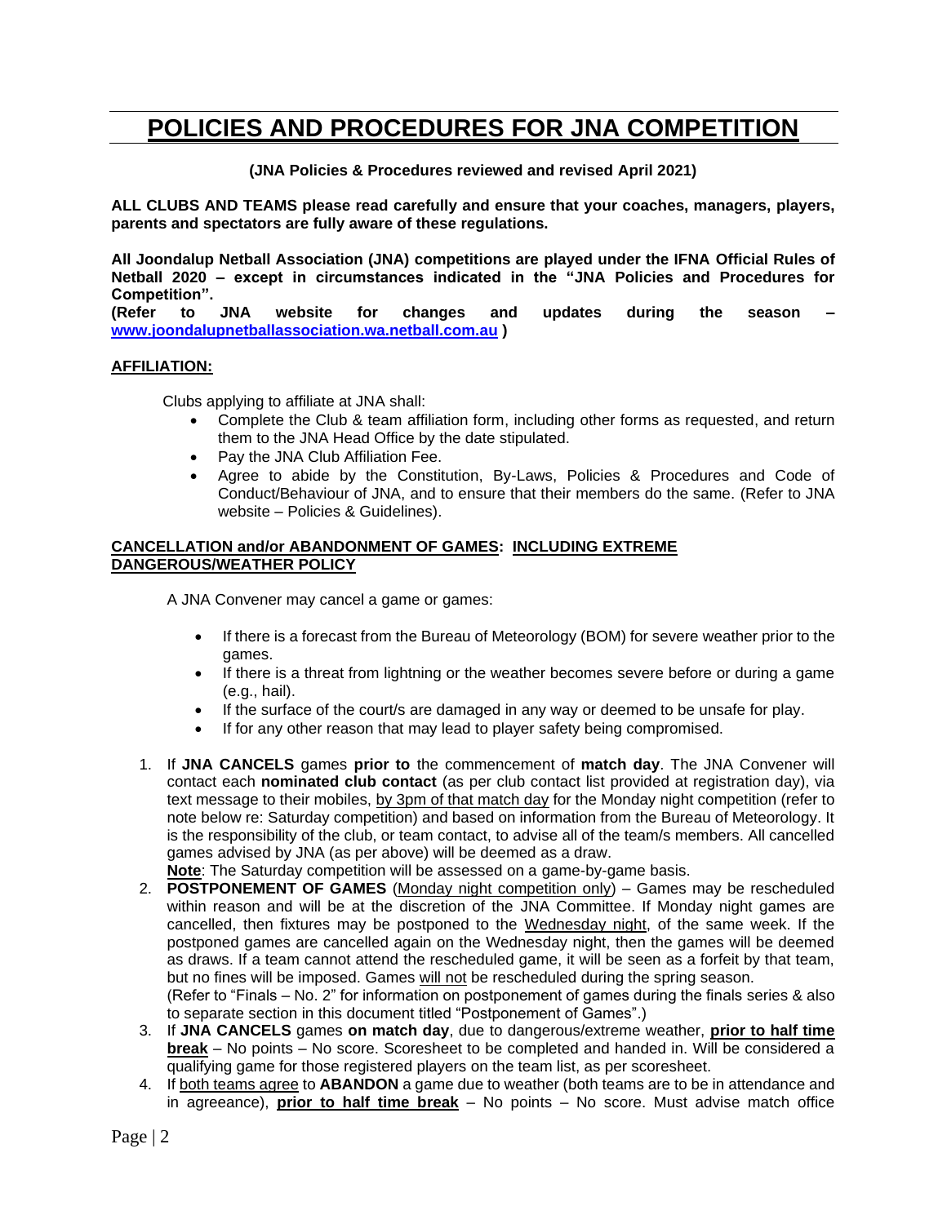# **POLICIES AND PROCEDURES FOR JNA COMPETITION**

**(JNA Policies & Procedures reviewed and revised April 2021)**

**ALL CLUBS AND TEAMS please read carefully and ensure that your coaches, managers, players, parents and spectators are fully aware of these regulations.**

**All Joondalup Netball Association (JNA) competitions are played under the IFNA Official Rules of Netball 2020 – except in circumstances indicated in the "JNA Policies and Procedures for Competition".**

**(Refer to JNA website for changes and updates during the season – [www.joondalupnetballassociation.wa.netball.com.au](http://www.joondalupnetballassociation.wa.netball.com.au/) )**

#### **AFFILIATION:**

Clubs applying to affiliate at JNA shall:

- Complete the Club & team affiliation form, including other forms as requested, and return them to the JNA Head Office by the date stipulated.
- Pay the JNA Club Affiliation Fee.
- Agree to abide by the Constitution, By-Laws, Policies & Procedures and Code of Conduct/Behaviour of JNA, and to ensure that their members do the same. (Refer to JNA website – Policies & Guidelines).

#### **CANCELLATION and/or ABANDONMENT OF GAMES: INCLUDING EXTREME DANGEROUS/WEATHER POLICY**

A JNA Convener may cancel a game or games:

- If there is a forecast from the Bureau of Meteorology (BOM) for severe weather prior to the games.
- If there is a threat from lightning or the weather becomes severe before or during a game (e.g., hail).
- If the surface of the court/s are damaged in any way or deemed to be unsafe for play.
- If for any other reason that may lead to player safety being compromised.
- 1. If **JNA CANCELS** games **prior to** the commencement of **match day**. The JNA Convener will contact each **nominated club contact** (as per club contact list provided at registration day), via text message to their mobiles, by 3pm of that match day for the Monday night competition (refer to note below re: Saturday competition) and based on information from the Bureau of Meteorology. It is the responsibility of the club, or team contact, to advise all of the team/s members. All cancelled games advised by JNA (as per above) will be deemed as a draw.

**Note**: The Saturday competition will be assessed on a game-by-game basis.

2. **POSTPONEMENT OF GAMES** (Monday night competition only) – Games may be rescheduled within reason and will be at the discretion of the JNA Committee. If Monday night games are cancelled, then fixtures may be postponed to the Wednesday night, of the same week. If the postponed games are cancelled again on the Wednesday night, then the games will be deemed as draws. If a team cannot attend the rescheduled game, it will be seen as a forfeit by that team, but no fines will be imposed. Games will not be rescheduled during the spring season.

(Refer to "Finals – No. 2" for information on postponement of games during the finals series & also to separate section in this document titled "Postponement of Games".)

- 3. If **JNA CANCELS** games **on match day**, due to dangerous/extreme weather, **prior to half time break** – No points – No score. Scoresheet to be completed and handed in. Will be considered a qualifying game for those registered players on the team list, as per scoresheet.
- 4. If both teams agree to **ABANDON** a game due to weather (both teams are to be in attendance and in agreeance), **prior to half time break** – No points – No score. Must advise match office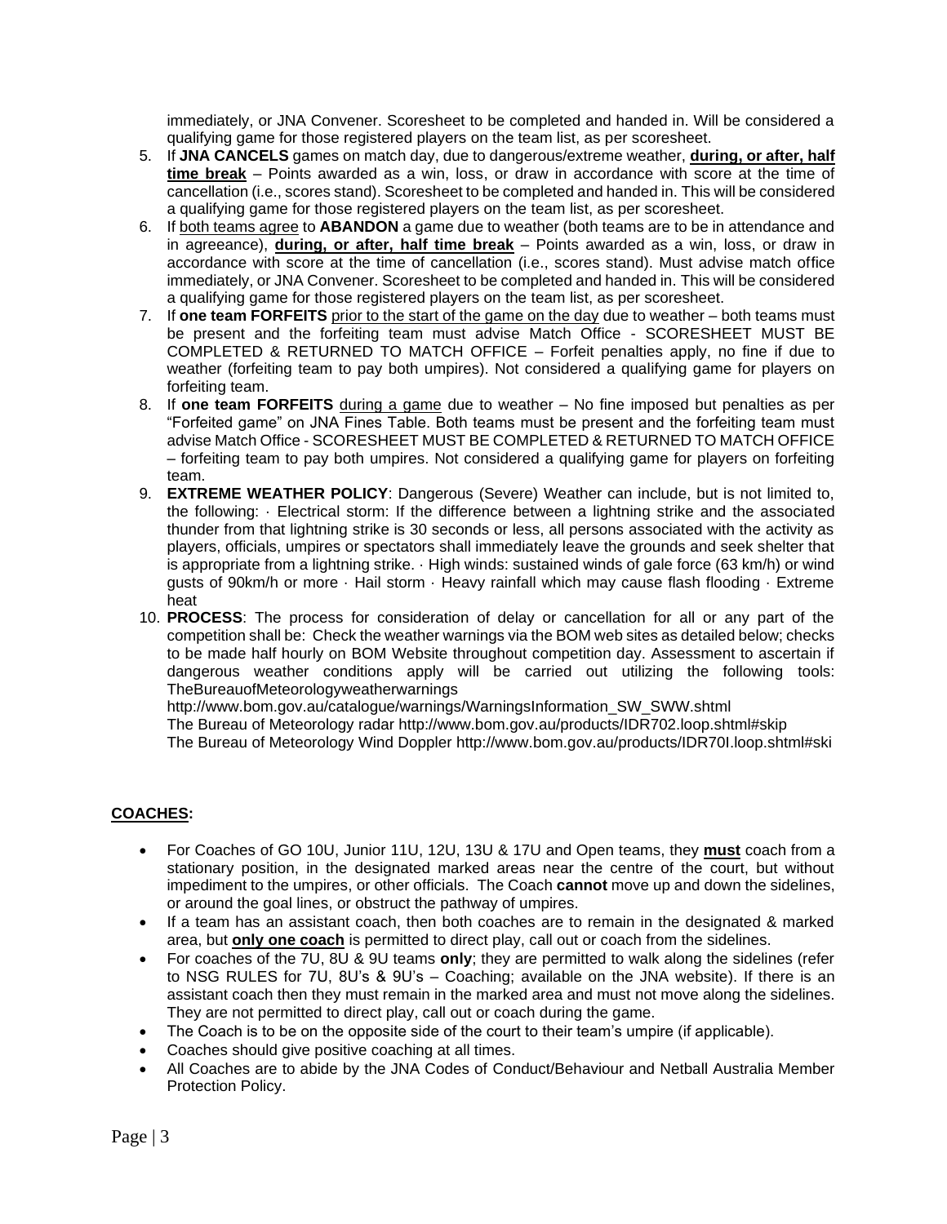immediately, or JNA Convener. Scoresheet to be completed and handed in. Will be considered a qualifying game for those registered players on the team list, as per scoresheet.

- 5. If **JNA CANCELS** games on match day, due to dangerous/extreme weather, **during, or after, half time break** – Points awarded as a win, loss, or draw in accordance with score at the time of cancellation (i.e., scores stand). Scoresheet to be completed and handed in. This will be considered a qualifying game for those registered players on the team list, as per scoresheet.
- 6. If both teams agree to **ABANDON** a game due to weather (both teams are to be in attendance and in agreeance), **during, or after, half time break** – Points awarded as a win, loss, or draw in accordance with score at the time of cancellation (i.e., scores stand). Must advise match office immediately, or JNA Convener. Scoresheet to be completed and handed in. This will be considered a qualifying game for those registered players on the team list, as per scoresheet.
- 7. If **one team FORFEITS** prior to the start of the game on the day due to weather both teams must be present and the forfeiting team must advise Match Office - SCORESHEET MUST BE COMPLETED & RETURNED TO MATCH OFFICE – Forfeit penalties apply, no fine if due to weather (forfeiting team to pay both umpires). Not considered a qualifying game for players on forfeiting team.
- 8. If **one team FORFEITS** during a game due to weather No fine imposed but penalties as per "Forfeited game" on JNA Fines Table. Both teams must be present and the forfeiting team must advise Match Office - SCORESHEET MUST BE COMPLETED & RETURNED TO MATCH OFFICE – forfeiting team to pay both umpires. Not considered a qualifying game for players on forfeiting team.
- 9. **EXTREME WEATHER POLICY**: Dangerous (Severe) Weather can include, but is not limited to, the following: · Electrical storm: If the difference between a lightning strike and the associated thunder from that lightning strike is 30 seconds or less, all persons associated with the activity as players, officials, umpires or spectators shall immediately leave the grounds and seek shelter that is appropriate from a lightning strike. · High winds: sustained winds of gale force (63 km/h) or wind gusts of 90km/h or more · Hail storm · Heavy rainfall which may cause flash flooding · Extreme heat
- 10. **PROCESS**: The process for consideration of delay or cancellation for all or any part of the competition shall be: Check the weather warnings via the BOM web sites as detailed below; checks to be made half hourly on BOM Website throughout competition day. Assessment to ascertain if dangerous weather conditions apply will be carried out utilizing the following tools: TheBureauofMeteorologyweatherwarnings

http://www.bom.gov.au/catalogue/warnings/WarningsInformation\_SW\_SWW.shtml

The Bureau of Meteorology radar http://www.bom.gov.au/products/IDR702.loop.shtml#skip

The Bureau of Meteorology Wind Doppler http://www.bom.gov.au/products/IDR70I.loop.shtml#ski

## **COACHES:**

- For Coaches of GO 10U, Junior 11U, 12U, 13U & 17U and Open teams, they **must** coach from a stationary position, in the designated marked areas near the centre of the court, but without impediment to the umpires, or other officials. The Coach **cannot** move up and down the sidelines, or around the goal lines, or obstruct the pathway of umpires.
- If a team has an assistant coach, then both coaches are to remain in the designated & marked area, but **only one coach** is permitted to direct play, call out or coach from the sidelines.
- For coaches of the 7U, 8U & 9U teams **only**; they are permitted to walk along the sidelines (refer to NSG RULES for 7U, 8U's & 9U's – Coaching; available on the JNA website). If there is an assistant coach then they must remain in the marked area and must not move along the sidelines. They are not permitted to direct play, call out or coach during the game.
- The Coach is to be on the opposite side of the court to their team's umpire (if applicable).
- Coaches should give positive coaching at all times.
- All Coaches are to abide by the JNA Codes of Conduct/Behaviour and Netball Australia Member Protection Policy.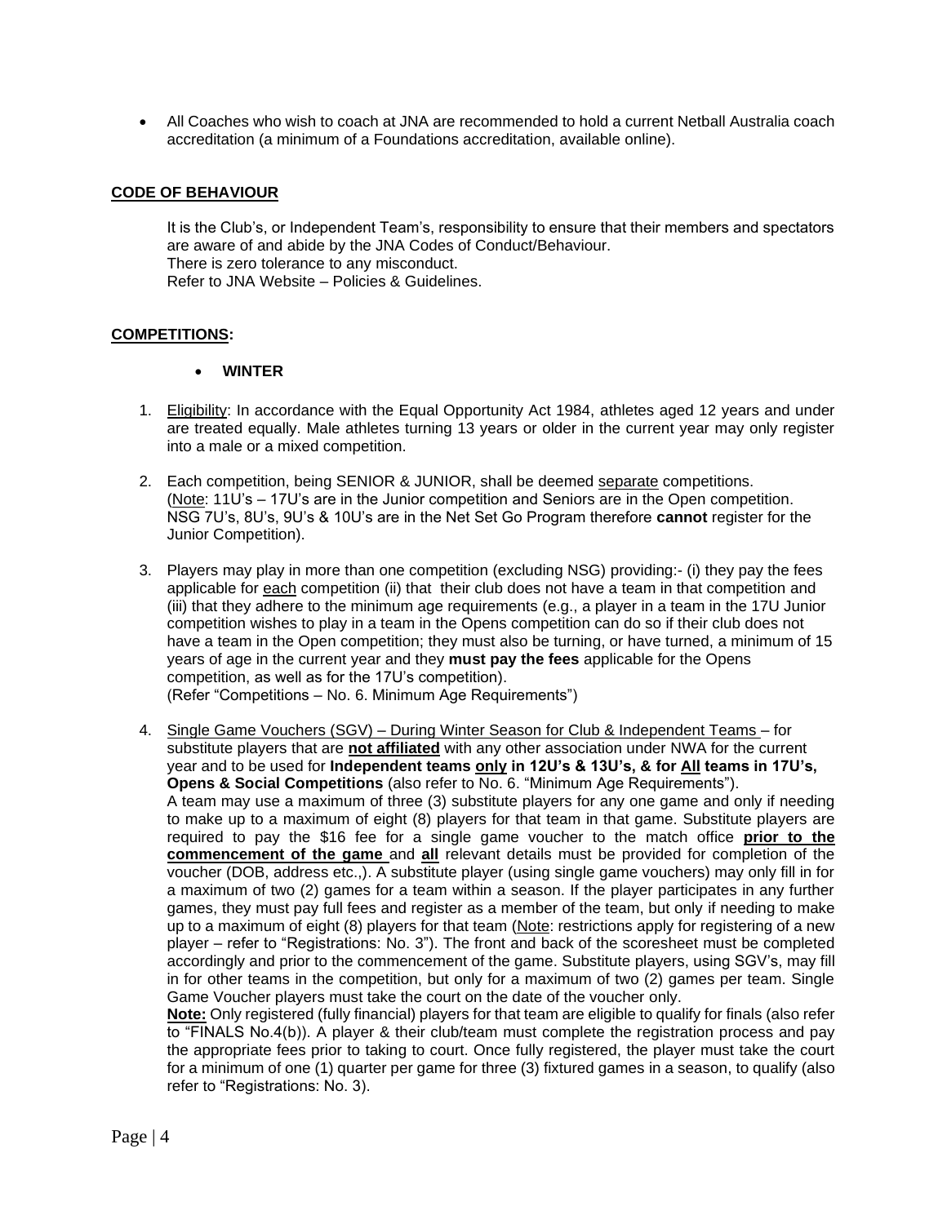• All Coaches who wish to coach at JNA are recommended to hold a current Netball Australia coach accreditation (a minimum of a Foundations accreditation, available online).

#### **CODE OF BEHAVIOUR**

It is the Club's, or Independent Team's, responsibility to ensure that their members and spectators are aware of and abide by the JNA Codes of Conduct/Behaviour. There is zero tolerance to any misconduct. Refer to JNA Website – Policies & Guidelines.

#### **COMPETITIONS:**

#### • **WINTER**

- 1. Eligibility: In accordance with the Equal Opportunity Act 1984, athletes aged 12 years and under are treated equally. Male athletes turning 13 years or older in the current year may only register into a male or a mixed competition.
- 2. Each competition, being SENIOR & JUNIOR, shall be deemed separate competitions. (Note: 11U's – 17U's are in the Junior competition and Seniors are in the Open competition. NSG 7U's, 8U's, 9U's & 10U's are in the Net Set Go Program therefore **cannot** register for the Junior Competition).
- 3. Players may play in more than one competition (excluding NSG) providing:- (i) they pay the fees applicable for each competition (ii) that their club does not have a team in that competition and (iii) that they adhere to the minimum age requirements (e.g., a player in a team in the 17U Junior competition wishes to play in a team in the Opens competition can do so if their club does not have a team in the Open competition; they must also be turning, or have turned, a minimum of 15 years of age in the current year and they **must pay the fees** applicable for the Opens competition, as well as for the 17U's competition). (Refer "Competitions – No. 6. Minimum Age Requirements")
- 4. Single Game Vouchers (SGV) During Winter Season for Club & Independent Teams for substitute players that are **not affiliated** with any other association under NWA for the current year and to be used for **Independent teams only in 12U's & 13U's, & for All teams in 17U's, Opens & Social Competitions** (also refer to No. 6. "Minimum Age Requirements"). A team may use a maximum of three (3) substitute players for any one game and only if needing to make up to a maximum of eight (8) players for that team in that game. Substitute players are required to pay the \$16 fee for a single game voucher to the match office **prior to the commencement of the game** and **all** relevant details must be provided for completion of the voucher (DOB, address etc.,). A substitute player (using single game vouchers) may only fill in for a maximum of two (2) games for a team within a season. If the player participates in any further games, they must pay full fees and register as a member of the team, but only if needing to make up to a maximum of eight (8) players for that team (Note: restrictions apply for registering of a new player – refer to "Registrations: No. 3"). The front and back of the scoresheet must be completed accordingly and prior to the commencement of the game. Substitute players, using SGV's, may fill in for other teams in the competition, but only for a maximum of two (2) games per team. Single Game Voucher players must take the court on the date of the voucher only.

**Note:** Only registered (fully financial) players for that team are eligible to qualify for finals (also refer to "FINALS No.4(b)). A player & their club/team must complete the registration process and pay the appropriate fees prior to taking to court. Once fully registered, the player must take the court for a minimum of one (1) quarter per game for three (3) fixtured games in a season, to qualify (also refer to "Registrations: No. 3).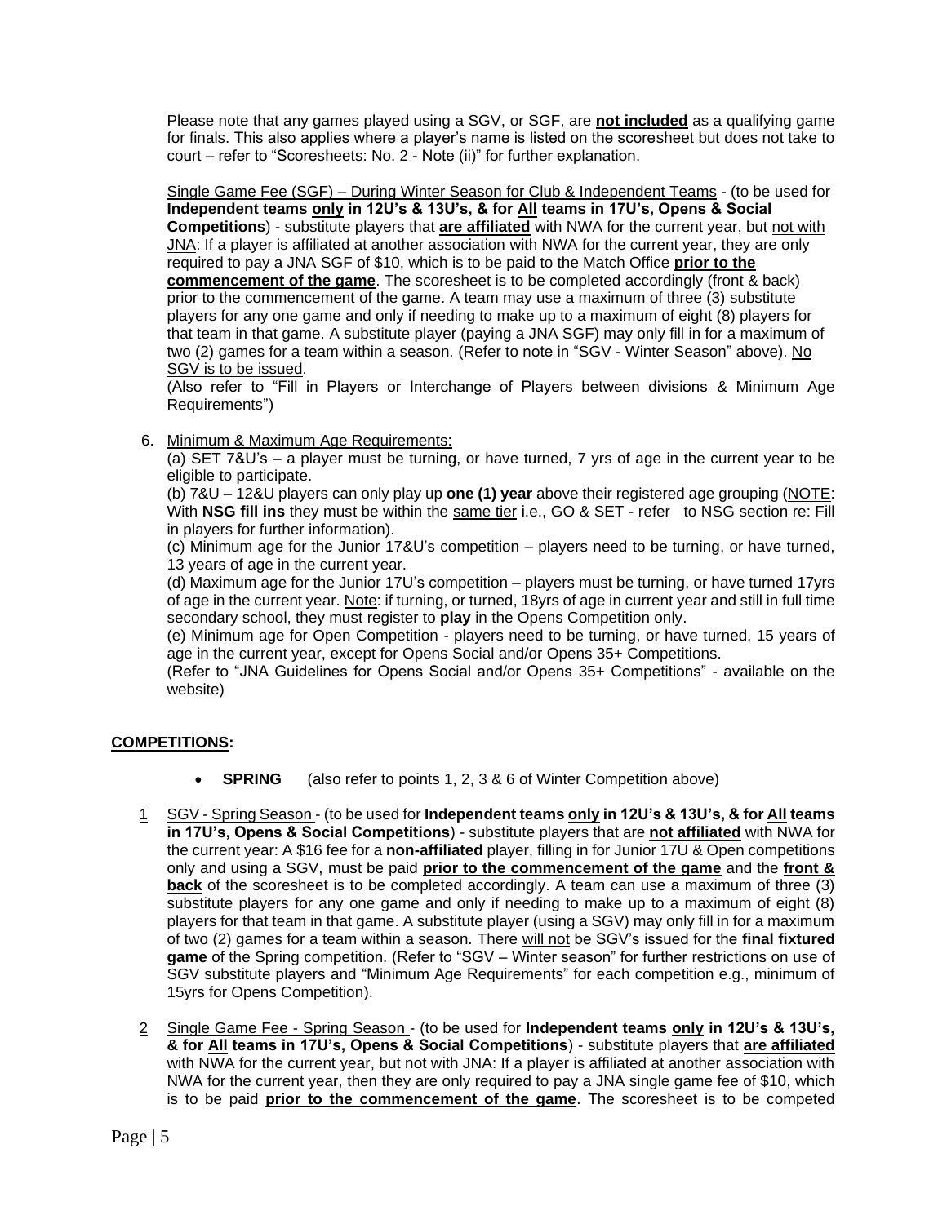Please note that any games played using a SGV, or SGF, are **not included** as a qualifying game for finals. This also applies where a player's name is listed on the scoresheet but does not take to court – refer to "Scoresheets: No. 2 - Note (ii)" for further explanation.

Single Game Fee (SGF) – During Winter Season for Club & Independent Teams - (to be used for **Independent teams only in 12U's & 13U's, & for All teams in 17U's, Opens & Social Competitions**) - substitute players that **are affiliated** with NWA for the current year, but not with JNA: If a player is affiliated at another association with NWA for the current year, they are only required to pay a JNA SGF of \$10, which is to be paid to the Match Office **prior to the commencement of the game**. The scoresheet is to be completed accordingly (front & back) prior to the commencement of the game. A team may use a maximum of three (3) substitute players for any one game and only if needing to make up to a maximum of eight (8) players for that team in that game. A substitute player (paying a JNA SGF) may only fill in for a maximum of two (2) games for a team within a season. (Refer to note in "SGV - Winter Season" above). No SGV is to be issued.

(Also refer to "Fill in Players or Interchange of Players between divisions & Minimum Age Requirements")

6. Minimum & Maximum Age Requirements:

(a) SET 7&U's – a player must be turning, or have turned, 7 yrs of age in the current year to be eligible to participate.

(b) 7&U – 12&U players can only play up **one (1) year** above their registered age grouping (NOTE: With **NSG fill ins** they must be within the same tier i.e., GO & SET - refer to NSG section re: Fill in players for further information).

(c) Minimum age for the Junior 17&U's competition – players need to be turning, or have turned, 13 years of age in the current year.

(d) Maximum age for the Junior 17U's competition – players must be turning, or have turned 17yrs of age in the current year. Note: if turning, or turned, 18yrs of age in current year and still in full time secondary school, they must register to **play** in the Opens Competition only.

(e) Minimum age for Open Competition - players need to be turning, or have turned, 15 years of age in the current year, except for Opens Social and/or Opens 35+ Competitions.

(Refer to "JNA Guidelines for Opens Social and/or Opens 35+ Competitions" - available on the website)

## **COMPETITIONS:**

- **SPRING** (also refer to points 1, 2, 3 & 6 of Winter Competition above)
- 1 SGV Spring Season (to be used for **Independent teams only in 12U's & 13U's, & for All teams in 17U's, Opens & Social Competitions**) - substitute players that are **not affiliated** with NWA for the current year: A \$16 fee for a **non-affiliated** player, filling in for Junior 17U & Open competitions only and using a SGV, must be paid **prior to the commencement of the game** and the **front & back** of the scoresheet is to be completed accordingly. A team can use a maximum of three (3) substitute players for any one game and only if needing to make up to a maximum of eight (8) players for that team in that game. A substitute player (using a SGV) may only fill in for a maximum of two (2) games for a team within a season. There will not be SGV's issued for the **final fixtured game** of the Spring competition. (Refer to "SGV – Winter season" for further restrictions on use of SGV substitute players and "Minimum Age Requirements" for each competition e.g., minimum of 15yrs for Opens Competition).
- 2 Single Game Fee Spring Season (to be used for **Independent teams only in 12U's & 13U's, & for All teams in 17U's, Opens & Social Competitions**) - substitute players that **are affiliated** with NWA for the current year, but not with JNA: If a player is affiliated at another association with NWA for the current year, then they are only required to pay a JNA single game fee of \$10, which is to be paid **prior to the commencement of the game**. The scoresheet is to be competed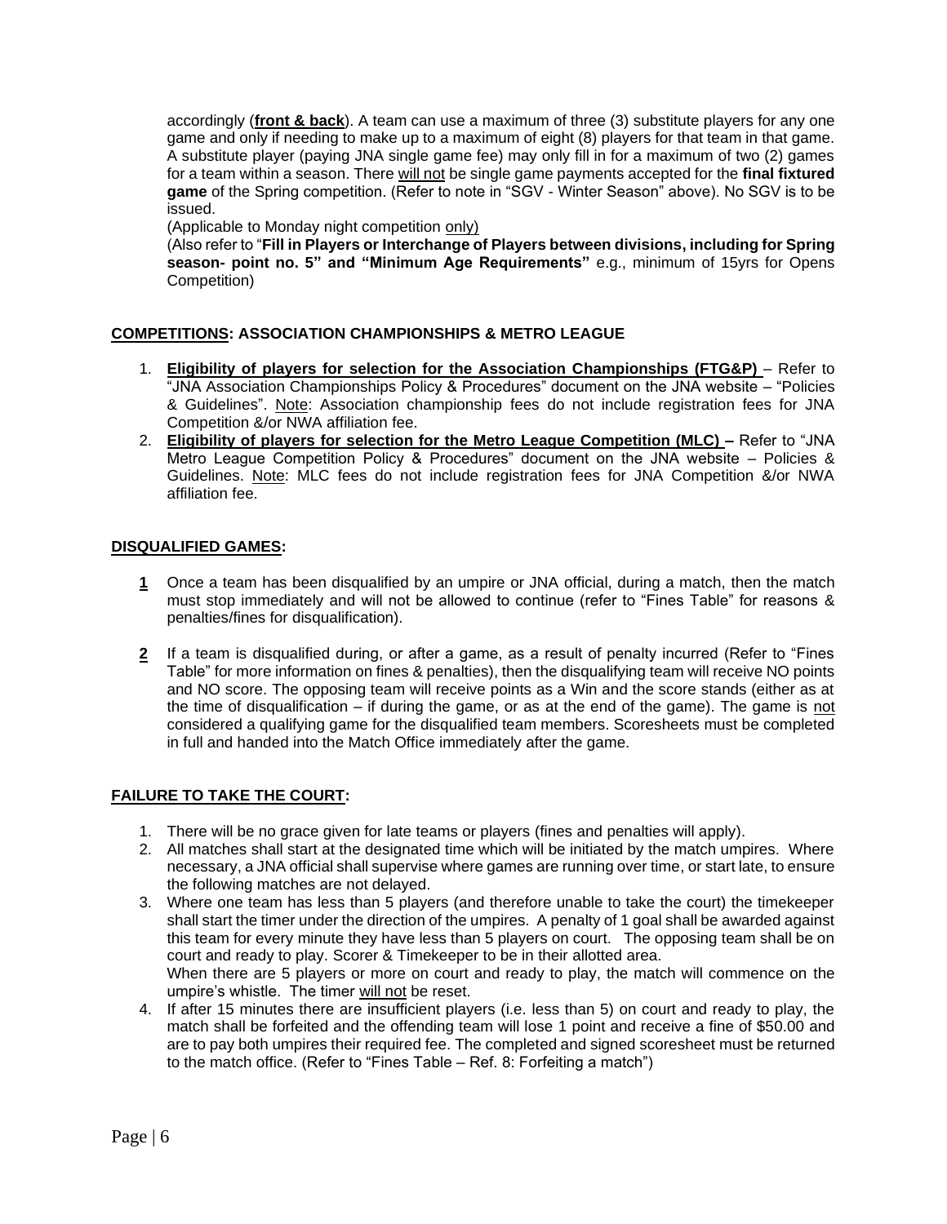accordingly (**front & back**). A team can use a maximum of three (3) substitute players for any one game and only if needing to make up to a maximum of eight (8) players for that team in that game. A substitute player (paying JNA single game fee) may only fill in for a maximum of two (2) games for a team within a season. There will not be single game payments accepted for the final fixtured **game** of the Spring competition. (Refer to note in "SGV - Winter Season" above). No SGV is to be issued.

(Applicable to Monday night competition only)

(Also refer to "**Fill in Players or Interchange of Players between divisions, including for Spring season- point no. 5" and "Minimum Age Requirements"** e.g., minimum of 15yrs for Opens Competition)

## **COMPETITIONS: ASSOCIATION CHAMPIONSHIPS & METRO LEAGUE**

- 1. **Eligibility of players for selection for the Association Championships (FTG&P)**  Refer to "JNA Association Championships Policy & Procedures" document on the JNA website – "Policies & Guidelines". Note: Association championship fees do not include registration fees for JNA Competition &/or NWA affiliation fee.
- 2. **Eligibility of players for selection for the Metro League Competition (MLC) –** Refer to "JNA Metro League Competition Policy & Procedures" document on the JNA website – Policies & Guidelines. Note: MLC fees do not include registration fees for JNA Competition &/or NWA affiliation fee.

## **DISQUALIFIED GAMES:**

- **1** Once a team has been disqualified by an umpire or JNA official, during a match, then the match must stop immediately and will not be allowed to continue (refer to "Fines Table" for reasons & penalties/fines for disqualification).
- **2** If a team is disqualified during, or after a game, as a result of penalty incurred (Refer to "Fines Table" for more information on fines & penalties), then the disqualifying team will receive NO points and NO score. The opposing team will receive points as a Win and the score stands (either as at the time of disqualification – if during the game, or as at the end of the game). The game is not considered a qualifying game for the disqualified team members. Scoresheets must be completed in full and handed into the Match Office immediately after the game.

## **FAILURE TO TAKE THE COURT:**

- 1. There will be no grace given for late teams or players (fines and penalties will apply).
- 2. All matches shall start at the designated time which will be initiated by the match umpires. Where necessary, a JNA official shall supervise where games are running over time, or start late, to ensure the following matches are not delayed.
- 3. Where one team has less than 5 players (and therefore unable to take the court) the timekeeper shall start the timer under the direction of the umpires. A penalty of 1 goal shall be awarded against this team for every minute they have less than 5 players on court. The opposing team shall be on court and ready to play. Scorer & Timekeeper to be in their allotted area. When there are 5 players or more on court and ready to play, the match will commence on the
- umpire's whistle. The timer will not be reset. 4. If after 15 minutes there are insufficient players (i.e. less than 5) on court and ready to play, the match shall be forfeited and the offending team will lose 1 point and receive a fine of \$50.00 and are to pay both umpires their required fee. The completed and signed scoresheet must be returned to the match office. (Refer to "Fines Table – Ref. 8: Forfeiting a match")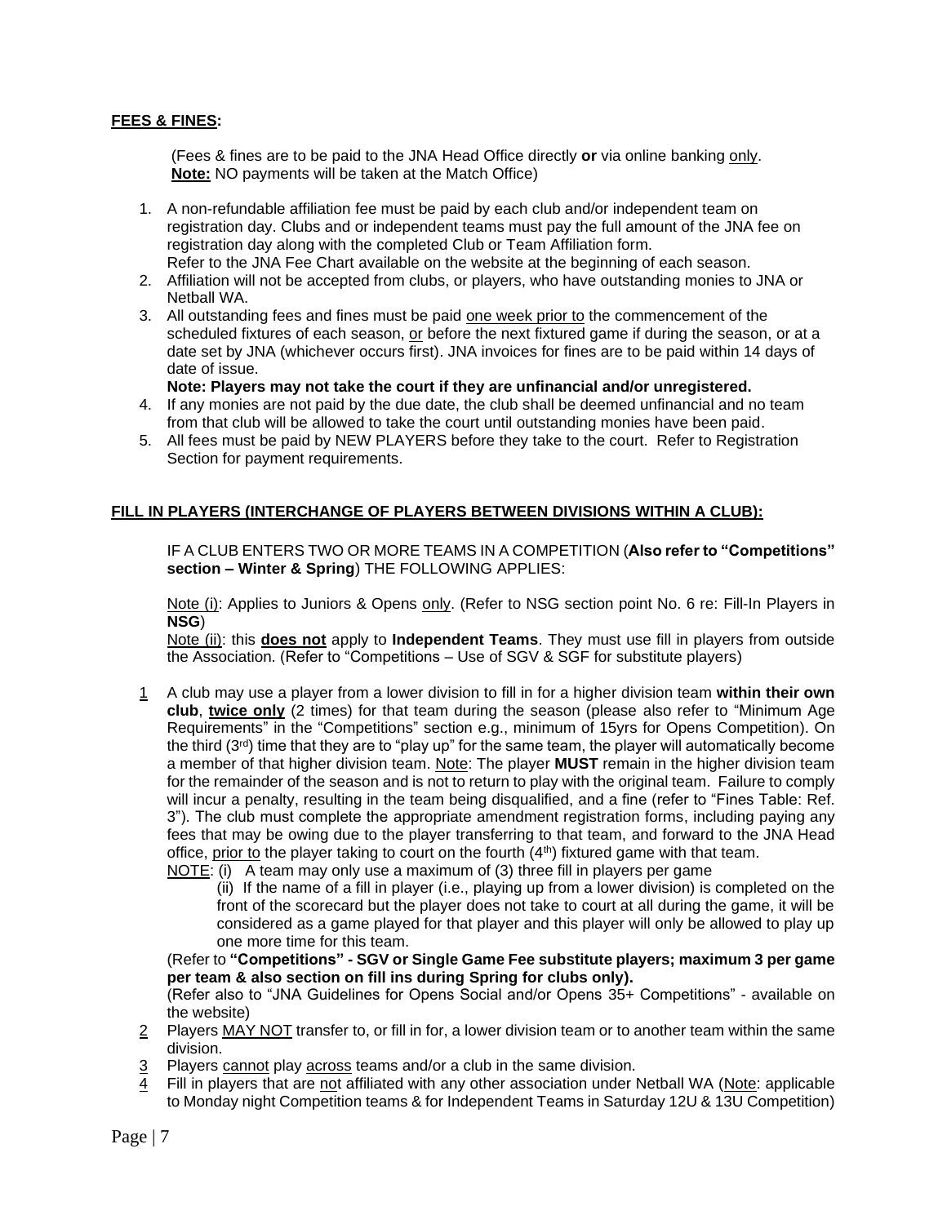## **FEES & FINES:**

(Fees & fines are to be paid to the JNA Head Office directly **or** via online banking only. **Note:** NO payments will be taken at the Match Office)

- 1. A non-refundable affiliation fee must be paid by each club and/or independent team on registration day. Clubs and or independent teams must pay the full amount of the JNA fee on registration day along with the completed Club or Team Affiliation form. Refer to the JNA Fee Chart available on the website at the beginning of each season.
- 2. Affiliation will not be accepted from clubs, or players, who have outstanding monies to JNA or Netball WA.
- 3. All outstanding fees and fines must be paid one week prior to the commencement of the scheduled fixtures of each season, or before the next fixtured game if during the season, or at a date set by JNA (whichever occurs first). JNA invoices for fines are to be paid within 14 days of date of issue.
	- **Note: Players may not take the court if they are unfinancial and/or unregistered.**
- 4. If any monies are not paid by the due date, the club shall be deemed unfinancial and no team from that club will be allowed to take the court until outstanding monies have been paid.
- 5. All fees must be paid by NEW PLAYERS before they take to the court. Refer to Registration Section for payment requirements.

#### **FILL IN PLAYERS (INTERCHANGE OF PLAYERS BETWEEN DIVISIONS WITHIN A CLUB):**

IF A CLUB ENTERS TWO OR MORE TEAMS IN A COMPETITION (**Also refer to "Competitions" section – Winter & Spring**) THE FOLLOWING APPLIES:

Note (i): Applies to Juniors & Opens only. (Refer to NSG section point No. 6 re: Fill-In Players in **NSG**)

Note (ii): this **does not** apply to **Independent Teams**. They must use fill in players from outside the Association. (Refer to "Competitions – Use of SGV & SGF for substitute players)

1 A club may use a player from a lower division to fill in for a higher division team **within their own club**, **twice only** (2 times) for that team during the season (please also refer to "Minimum Age Requirements" in the "Competitions" section e.g., minimum of 15yrs for Opens Competition). On the third (3<sup>rd</sup>) time that they are to "play up" for the same team, the player will automatically become a member of that higher division team. Note: The player **MUST** remain in the higher division team for the remainder of the season and is not to return to play with the original team. Failure to comply will incur a penalty, resulting in the team being disqualified, and a fine (refer to "Fines Table: Ref. 3"). The club must complete the appropriate amendment registration forms, including paying any fees that may be owing due to the player transferring to that team, and forward to the JNA Head office, prior to the player taking to court on the fourth  $(4<sup>th</sup>)$  fixtured game with that team.

NOTE: (i) A team may only use a maximum of (3) three fill in players per game

(ii) If the name of a fill in player (i.e., playing up from a lower division) is completed on the front of the scorecard but the player does not take to court at all during the game, it will be considered as a game played for that player and this player will only be allowed to play up one more time for this team.

(Refer to **"Competitions" - SGV or Single Game Fee substitute players; maximum 3 per game per team & also section on fill ins during Spring for clubs only).**

(Refer also to "JNA Guidelines for Opens Social and/or Opens 35+ Competitions" - available on the website)

- 2 Players MAY NOT transfer to, or fill in for, a lower division team or to another team within the same division.
- 3 Players cannot play across teams and/or a club in the same division.
- 4 Fill in players that are not affiliated with any other association under Netball WA (Note: applicable to Monday night Competition teams & for Independent Teams in Saturday 12U & 13U Competition)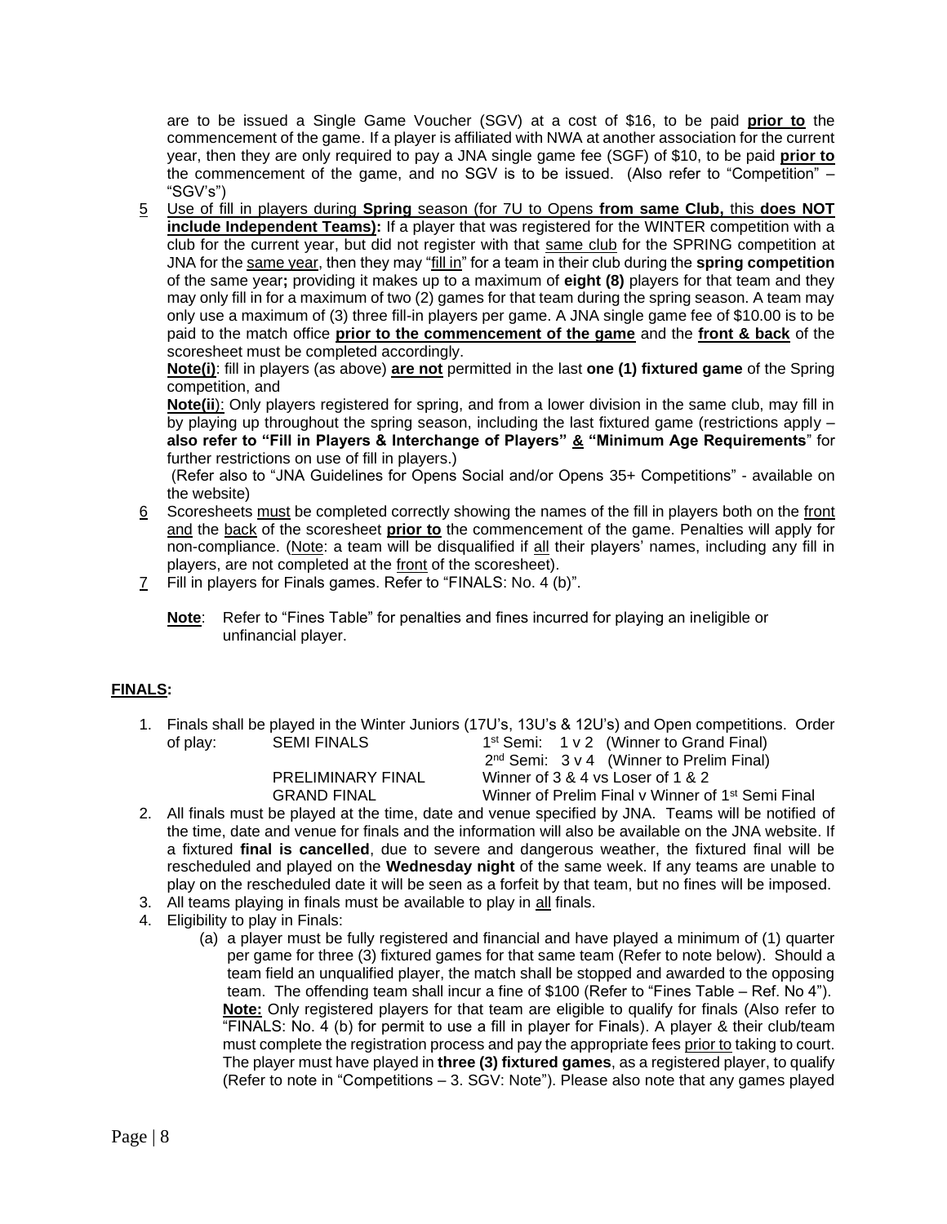are to be issued a Single Game Voucher (SGV) at a cost of \$16, to be paid **prior to** the commencement of the game. If a player is affiliated with NWA at another association for the current year, then they are only required to pay a JNA single game fee (SGF) of \$10, to be paid **prior to** the commencement of the game, and no SGV is to be issued. (Also refer to "Competition" – "SGV's")

5 Use of fill in players during **Spring** season (for 7U to Opens **from same Club,** this **does NOT include Independent Teams):** If a player that was registered for the WINTER competition with a club for the current year, but did not register with that same club for the SPRING competition at JNA for the same year, then they may "fill in" for a team in their club during the **spring competition**  of the same year**;** providing it makes up to a maximum of **eight (8)** players for that team and they may only fill in for a maximum of two (2) games for that team during the spring season. A team may only use a maximum of (3) three fill-in players per game. A JNA single game fee of \$10.00 is to be paid to the match office **prior to the commencement of the game** and the **front & back** of the scoresheet must be completed accordingly.

**Note(i)**: fill in players (as above) **are not** permitted in the last **one (1) fixtured game** of the Spring competition, and

**Note(ii**): Only players registered for spring, and from a lower division in the same club, may fill in by playing up throughout the spring season, including the last fixtured game (restrictions apply – **also refer to "Fill in Players & Interchange of Players" & "Minimum Age Requirements**" for further restrictions on use of fill in players.)

(Refer also to "JNA Guidelines for Opens Social and/or Opens 35+ Competitions" - available on the website)

- 6 Scoresheets must be completed correctly showing the names of the fill in players both on the front and the back of the scoresheet **prior to** the commencement of the game. Penalties will apply for non-compliance. (Note: a team will be disqualified if all their players' names, including any fill in players, are not completed at the front of the scoresheet).
- 7 Fill in players for Finals games. Refer to "FINALS: No. 4 (b)".
	- **Note**: Refer to "Fines Table" for penalties and fines incurred for playing an ineligible or unfinancial player.

## **FINALS:**

1. Finals shall be played in the Winter Juniors (17U's, 13U's & 12U's) and Open competitions. Order of play: SEMI FINALS 1 1<sup>st</sup> Semi: 1 v 2 (Winner to Grand Final)

2

2<sup>nd</sup> Semi: 3 v 4 (Winner to Prelim Final) PRELIMINARY FINAL Winner of 3 & 4 vs Loser of 1 & 2 GRAND FINAL Winner of Prelim Final v Winner of 1st Semi Final

- 2. All finals must be played at the time, date and venue specified by JNA. Teams will be notified of the time, date and venue for finals and the information will also be available on the JNA website. If a fixtured **final is cancelled**, due to severe and dangerous weather, the fixtured final will be rescheduled and played on the **Wednesday night** of the same week. If any teams are unable to play on the rescheduled date it will be seen as a forfeit by that team, but no fines will be imposed.
- 3. All teams playing in finals must be available to play in all finals.
- 4. Eligibility to play in Finals:
	- (a) a player must be fully registered and financial and have played a minimum of (1) quarter per game for three (3) fixtured games for that same team (Refer to note below). Should a team field an unqualified player, the match shall be stopped and awarded to the opposing team. The offending team shall incur a fine of \$100 (Refer to "Fines Table – Ref. No 4"). **Note:** Only registered players for that team are eligible to qualify for finals (Also refer to "FINALS: No. 4 (b) for permit to use a fill in player for Finals). A player & their club/team must complete the registration process and pay the appropriate fees prior to taking to court. The player must have played in **three (3) fixtured games**, as a registered player, to qualify (Refer to note in "Competitions – 3. SGV: Note"). Please also note that any games played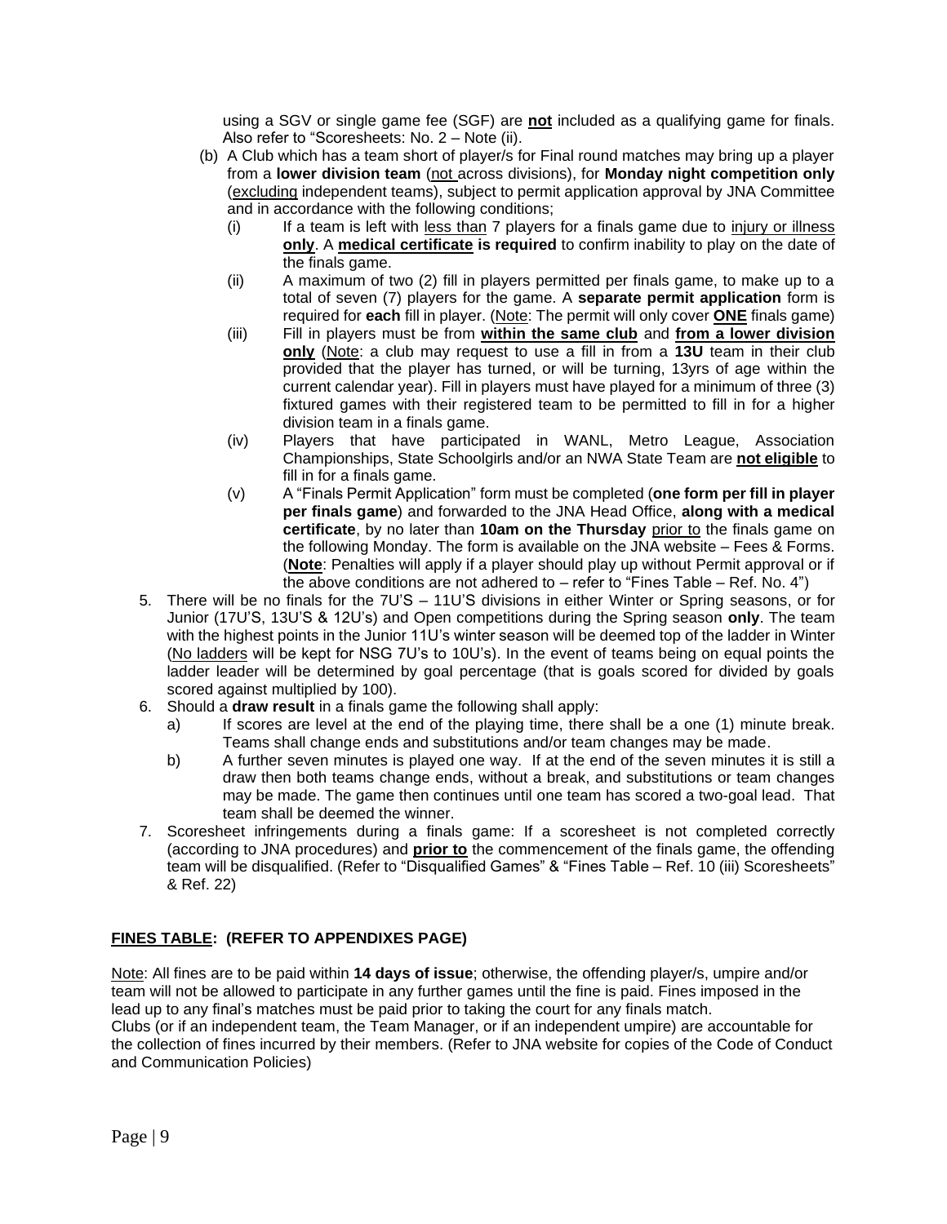using a SGV or single game fee (SGF) are **not** included as a qualifying game for finals. Also refer to "Scoresheets: No. 2 – Note (ii).

- (b) A Club which has a team short of player/s for Final round matches may bring up a player from a **lower division team** (not across divisions), for **Monday night competition only** (excluding independent teams), subject to permit application approval by JNA Committee and in accordance with the following conditions;
	- (i) If a team is left with less than 7 players for a finals game due to injury or illness **only**. A **medical certificate is required** to confirm inability to play on the date of the finals game.
	- (ii) A maximum of two (2) fill in players permitted per finals game, to make up to a total of seven (7) players for the game. A **separate permit application** form is required for **each** fill in player. (Note: The permit will only cover **ONE** finals game)
	- (iii) Fill in players must be from **within the same club** and **from a lower division only** (Note: a club may request to use a fill in from a **13U** team in their club provided that the player has turned, or will be turning, 13yrs of age within the current calendar year). Fill in players must have played for a minimum of three (3) fixtured games with their registered team to be permitted to fill in for a higher division team in a finals game.
	- (iv) Players that have participated in WANL, Metro League, Association Championships, State Schoolgirls and/or an NWA State Team are **not eligible** to fill in for a finals game.
	- (v) A "Finals Permit Application" form must be completed (**one form per fill in player per finals game**) and forwarded to the JNA Head Office, **along with a medical certificate**, by no later than **10am on the Thursday** prior to the finals game on the following Monday. The form is available on the JNA website – Fees & Forms. (**Note**: Penalties will apply if a player should play up without Permit approval or if the above conditions are not adhered to  $-$  refer to "Fines Table  $-$  Ref. No. 4")
- 5. There will be no finals for the 7U'S 11U'S divisions in either Winter or Spring seasons, or for Junior (17U'S, 13U'S & 12U's) and Open competitions during the Spring season **only**. The team with the highest points in the Junior 11U's winter season will be deemed top of the ladder in Winter (No ladders will be kept for NSG 7U's to 10U's). In the event of teams being on equal points the ladder leader will be determined by goal percentage (that is goals scored for divided by goals scored against multiplied by 100).
- 6. Should a **draw result** in a finals game the following shall apply:
	- a) If scores are level at the end of the playing time, there shall be a one (1) minute break. Teams shall change ends and substitutions and/or team changes may be made.
	- b) A further seven minutes is played one way. If at the end of the seven minutes it is still a draw then both teams change ends, without a break, and substitutions or team changes may be made. The game then continues until one team has scored a two-goal lead. That team shall be deemed the winner.
- 7. Scoresheet infringements during a finals game: If a scoresheet is not completed correctly (according to JNA procedures) and **prior to** the commencement of the finals game, the offending team will be disqualified. (Refer to "Disqualified Games" & "Fines Table – Ref. 10 (iii) Scoresheets" & Ref. 22)

## **FINES TABLE: (REFER TO APPENDIXES PAGE)**

Note: All fines are to be paid within **14 days of issue**; otherwise, the offending player/s, umpire and/or team will not be allowed to participate in any further games until the fine is paid. Fines imposed in the lead up to any final's matches must be paid prior to taking the court for any finals match. Clubs (or if an independent team, the Team Manager, or if an independent umpire) are accountable for the collection of fines incurred by their members. (Refer to JNA website for copies of the Code of Conduct and Communication Policies)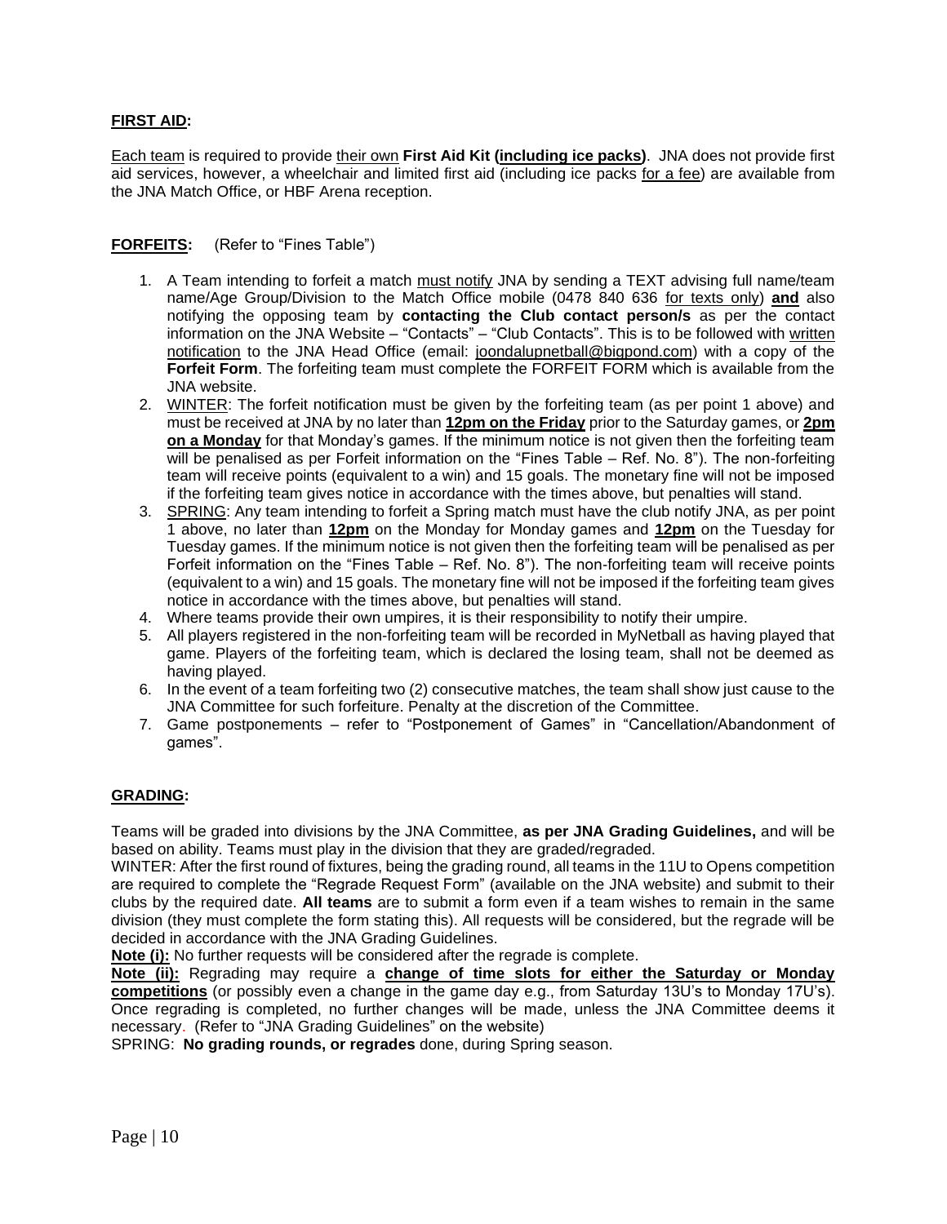## **FIRST AID:**

Each team is required to provide their own **First Aid Kit (including ice packs)**. JNA does not provide first aid services, however, a wheelchair and limited first aid (including ice packs for a fee) are available from the JNA Match Office, or HBF Arena reception.

## **FORFEITS:** (Refer to "Fines Table")

- 1. A Team intending to forfeit a match must notify JNA by sending a TEXT advising full name/team name/Age Group/Division to the Match Office mobile (0478 840 636 for texts only) **and** also notifying the opposing team by **contacting the Club contact person/s** as per the contact information on the JNA Website – "Contacts" – "Club Contacts". This is to be followed with written notification to the JNA Head Office (email: [joondalupnetball@bigpond.com\)](mailto:joondalupnetball@bigpond.com) with a copy of the **Forfeit Form**. The forfeiting team must complete the FORFEIT FORM which is available from the JNA website.
- 2. WINTER: The forfeit notification must be given by the forfeiting team (as per point 1 above) and must be received at JNA by no later than **12pm on the Friday** prior to the Saturday games, or **2pm on a Monday** for that Monday's games. If the minimum notice is not given then the forfeiting team will be penalised as per Forfeit information on the "Fines Table – Ref. No. 8"). The non-forfeiting team will receive points (equivalent to a win) and 15 goals. The monetary fine will not be imposed if the forfeiting team gives notice in accordance with the times above, but penalties will stand.
- 3. SPRING: Any team intending to forfeit a Spring match must have the club notify JNA, as per point 1 above, no later than **12pm** on the Monday for Monday games and **12pm** on the Tuesday for Tuesday games. If the minimum notice is not given then the forfeiting team will be penalised as per Forfeit information on the "Fines Table – Ref. No. 8"). The non-forfeiting team will receive points (equivalent to a win) and 15 goals. The monetary fine will not be imposed if the forfeiting team gives notice in accordance with the times above, but penalties will stand.
- 4. Where teams provide their own umpires, it is their responsibility to notify their umpire.
- 5. All players registered in the non-forfeiting team will be recorded in MyNetball as having played that game. Players of the forfeiting team, which is declared the losing team, shall not be deemed as having played.
- 6. In the event of a team forfeiting two (2) consecutive matches, the team shall show just cause to the JNA Committee for such forfeiture. Penalty at the discretion of the Committee.
- 7. Game postponements refer to "Postponement of Games" in "Cancellation/Abandonment of games".

## **GRADING:**

Teams will be graded into divisions by the JNA Committee, **as per JNA Grading Guidelines,** and will be based on ability. Teams must play in the division that they are graded/regraded.

WINTER: After the first round of fixtures, being the grading round, all teams in the 11U to Opens competition are required to complete the "Regrade Request Form" (available on the JNA website) and submit to their clubs by the required date. **All teams** are to submit a form even if a team wishes to remain in the same division (they must complete the form stating this). All requests will be considered, but the regrade will be decided in accordance with the JNA Grading Guidelines.

**Note (i):** No further requests will be considered after the regrade is complete.

**Note (ii):** Regrading may require a **change of time slots for either the Saturday or Monday competitions** (or possibly even a change in the game day e.g., from Saturday 13U's to Monday 17U's). Once regrading is completed, no further changes will be made, unless the JNA Committee deems it necessary. (Refer to "JNA Grading Guidelines" on the website)

SPRING: **No grading rounds, or regrades** done, during Spring season.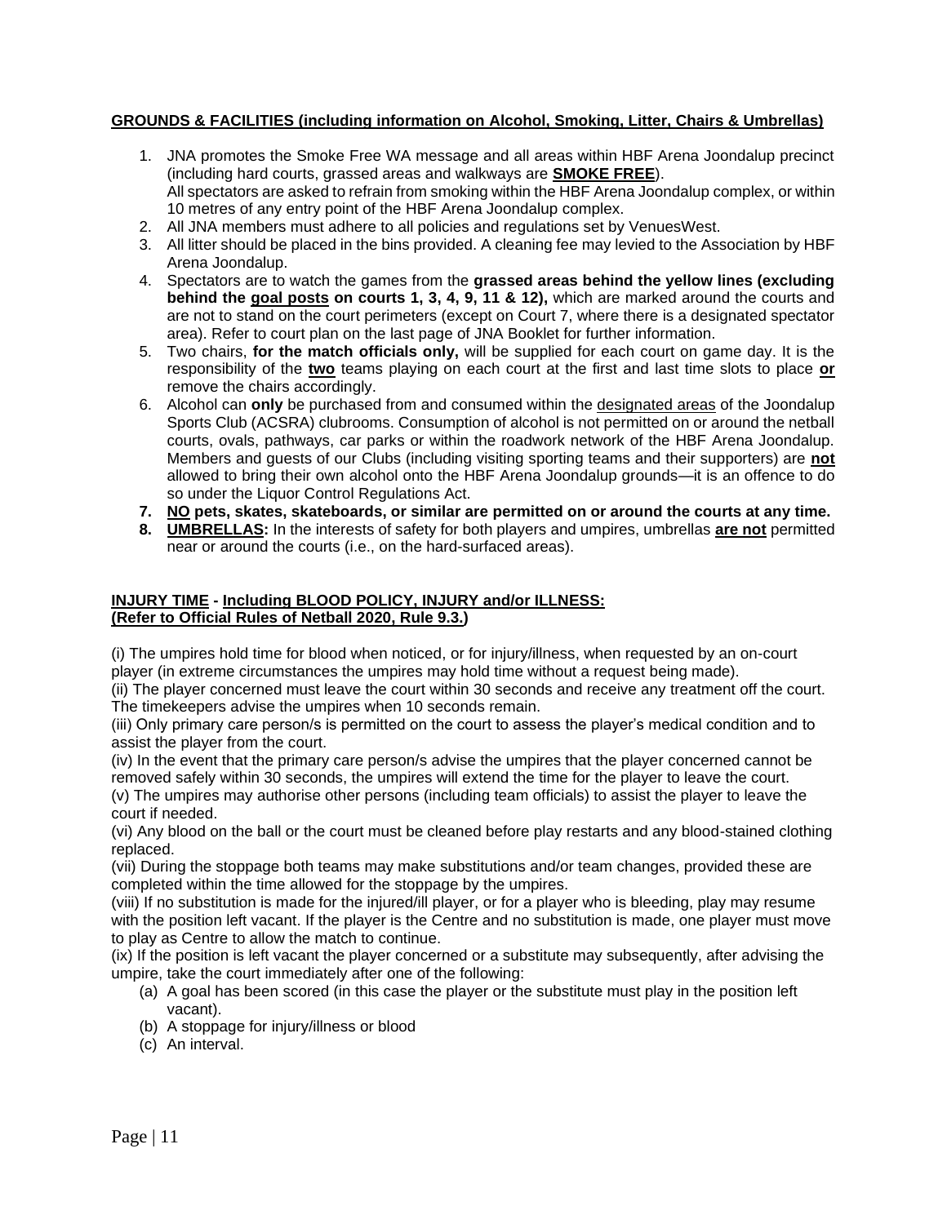## **GROUNDS & FACILITIES (including information on Alcohol, Smoking, Litter, Chairs & Umbrellas)**

- 1. JNA promotes the Smoke Free WA message and all areas within HBF Arena Joondalup precinct (including hard courts, grassed areas and walkways are **SMOKE FREE**). All spectators are asked to refrain from smoking within the HBF Arena Joondalup complex, or within 10 metres of any entry point of the HBF Arena Joondalup complex.
- 2. All JNA members must adhere to all policies and regulations set by VenuesWest.
- 3. All litter should be placed in the bins provided. A cleaning fee may levied to the Association by HBF Arena Joondalup.
- 4. Spectators are to watch the games from the **grassed areas behind the yellow lines (excluding behind the goal posts on courts 1, 3, 4, 9, 11 & 12),** which are marked around the courts and are not to stand on the court perimeters (except on Court 7, where there is a designated spectator area). Refer to court plan on the last page of JNA Booklet for further information.
- 5. Two chairs, **for the match officials only,** will be supplied for each court on game day. It is the responsibility of the **two** teams playing on each court at the first and last time slots to place **or** remove the chairs accordingly.
- 6. Alcohol can **only** be purchased from and consumed within the designated areas of the Joondalup Sports Club (ACSRA) clubrooms. Consumption of alcohol is not permitted on or around the netball courts, ovals, pathways, car parks or within the roadwork network of the HBF Arena Joondalup. Members and guests of our Clubs (including visiting sporting teams and their supporters) are **not** allowed to bring their own alcohol onto the HBF Arena Joondalup grounds—it is an offence to do so under the Liquor Control Regulations Act.
- **7. NO pets, skates, skateboards, or similar are permitted on or around the courts at any time.**
- **8. UMBRELLAS:** In the interests of safety for both players and umpires, umbrellas **are not** permitted near or around the courts (i.e., on the hard-surfaced areas).

## **INJURY TIME - Including BLOOD POLICY, INJURY and/or ILLNESS: (Refer to Official Rules of Netball 2020, Rule 9.3.)**

(i) The umpires hold time for blood when noticed, or for injury/illness, when requested by an on-court player (in extreme circumstances the umpires may hold time without a request being made).

(ii) The player concerned must leave the court within 30 seconds and receive any treatment off the court. The timekeepers advise the umpires when 10 seconds remain.

(iii) Only primary care person/s is permitted on the court to assess the player's medical condition and to assist the player from the court.

(iv) In the event that the primary care person/s advise the umpires that the player concerned cannot be removed safely within 30 seconds, the umpires will extend the time for the player to leave the court. (v) The umpires may authorise other persons (including team officials) to assist the player to leave the court if needed.

(vi) Any blood on the ball or the court must be cleaned before play restarts and any blood-stained clothing replaced.

(vii) During the stoppage both teams may make substitutions and/or team changes, provided these are completed within the time allowed for the stoppage by the umpires.

(viii) If no substitution is made for the injured/ill player, or for a player who is bleeding, play may resume with the position left vacant. If the player is the Centre and no substitution is made, one player must move to play as Centre to allow the match to continue.

(ix) If the position is left vacant the player concerned or a substitute may subsequently, after advising the umpire, take the court immediately after one of the following:

- (a) A goal has been scored (in this case the player or the substitute must play in the position left vacant).
- (b) A stoppage for injury/illness or blood
- (c) An interval.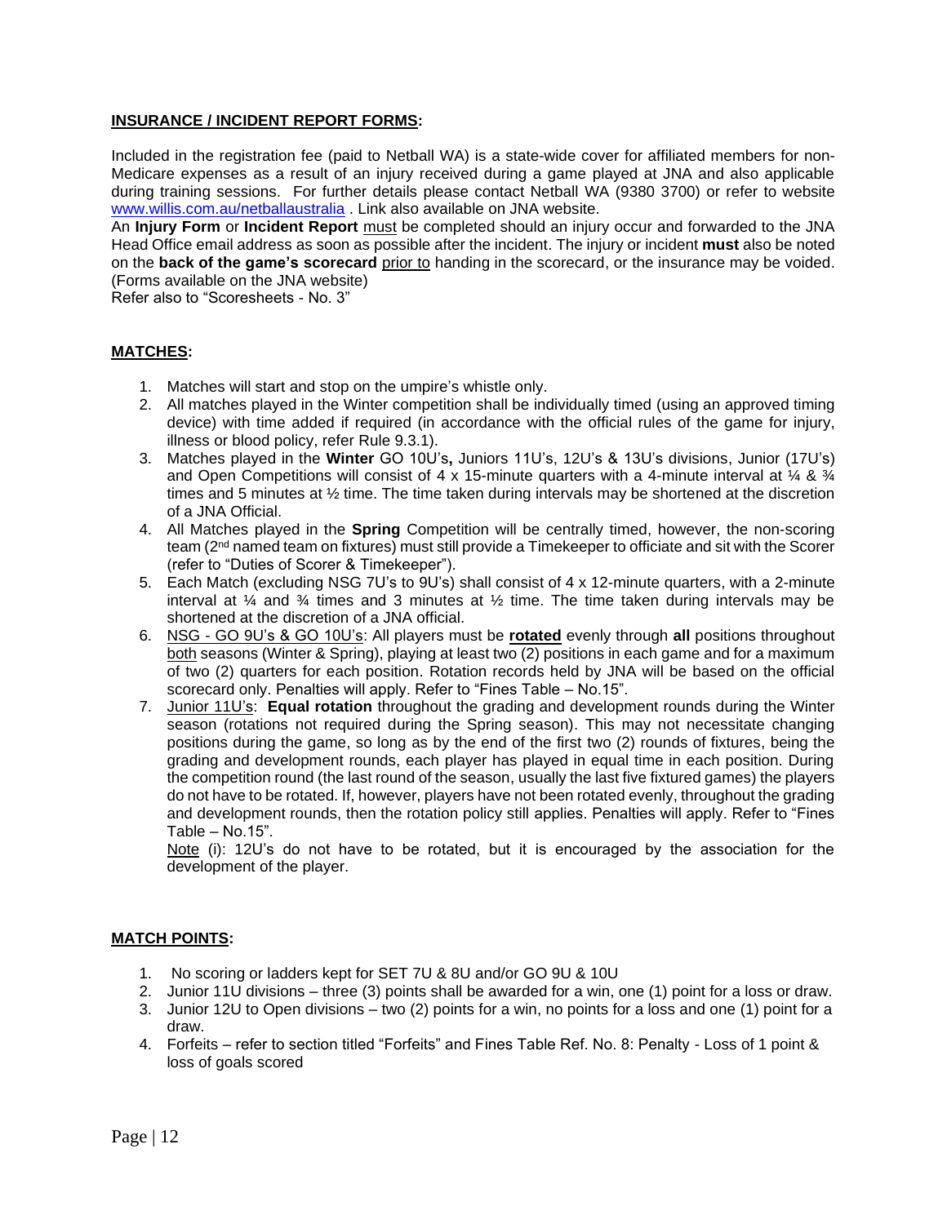## **INSURANCE / INCIDENT REPORT FORMS:**

Included in the registration fee (paid to Netball WA) is a state-wide cover for affiliated members for non-Medicare expenses as a result of an injury received during a game played at JNA and also applicable during training sessions. For further details please contact Netball WA (9380 3700) or refer to website [www.willis.com.au/netballaustralia](http://www.willis.com.au/netballaustralia) . Link also available on JNA website.

An **Injury Form** or **Incident Report** must be completed should an injury occur and forwarded to the JNA Head Office email address as soon as possible after the incident. The injury or incident **must** also be noted on the **back of the game's scorecard** prior to handing in the scorecard, or the insurance may be voided. (Forms available on the JNA website)

Refer also to "Scoresheets - No. 3"

### **MATCHES:**

- 1. Matches will start and stop on the umpire's whistle only.
- 2. All matches played in the Winter competition shall be individually timed (using an approved timing device) with time added if required (in accordance with the official rules of the game for injury, illness or blood policy, refer Rule 9.3.1).
- 3. Matches played in the **Winter** GO 10U's**,** Juniors 11U's, 12U's & 13U's divisions, Junior (17U's) and Open Competitions will consist of 4 x 15-minute quarters with a 4-minute interval at  $\frac{1}{4}$  &  $\frac{3}{4}$ times and 5 minutes at ½ time. The time taken during intervals may be shortened at the discretion of a JNA Official.
- 4. All Matches played in the **Spring** Competition will be centrally timed, however, the non-scoring team (2<sup>nd</sup> named team on fixtures) must still provide a Timekeeper to officiate and sit with the Scorer (refer to "Duties of Scorer & Timekeeper").
- 5. Each Match (excluding NSG 7U's to 9U's) shall consist of 4 x 12-minute quarters, with a 2-minute interval at  $\frac{1}{4}$  and  $\frac{3}{4}$  times and 3 minutes at  $\frac{1}{2}$  time. The time taken during intervals may be shortened at the discretion of a JNA official.
- 6. NSG GO 9U's & GO 10U's: All players must be **rotated** evenly through **all** positions throughout both seasons (Winter & Spring), playing at least two (2) positions in each game and for a maximum of two (2) quarters for each position. Rotation records held by JNA will be based on the official scorecard only. Penalties will apply. Refer to "Fines Table – No.15".
- 7. Junior 11U's: **Equal rotation** throughout the grading and development rounds during the Winter season (rotations not required during the Spring season). This may not necessitate changing positions during the game, so long as by the end of the first two (2) rounds of fixtures, being the grading and development rounds, each player has played in equal time in each position. During the competition round (the last round of the season, usually the last five fixtured games) the players do not have to be rotated. If, however, players have not been rotated evenly, throughout the grading and development rounds, then the rotation policy still applies. Penalties will apply. Refer to "Fines Table – No.15".

Note (i): 12U's do not have to be rotated, but it is encouraged by the association for the development of the player.

#### **MATCH POINTS:**

- 1. No scoring or ladders kept for SET 7U & 8U and/or GO 9U & 10U
- 2. Junior 11U divisions three (3) points shall be awarded for a win, one (1) point for a loss or draw.
- 3. Junior 12U to Open divisions two (2) points for a win, no points for a loss and one (1) point for a draw.
- 4. Forfeits refer to section titled "Forfeits" and Fines Table Ref. No. 8: Penalty Loss of 1 point & loss of goals scored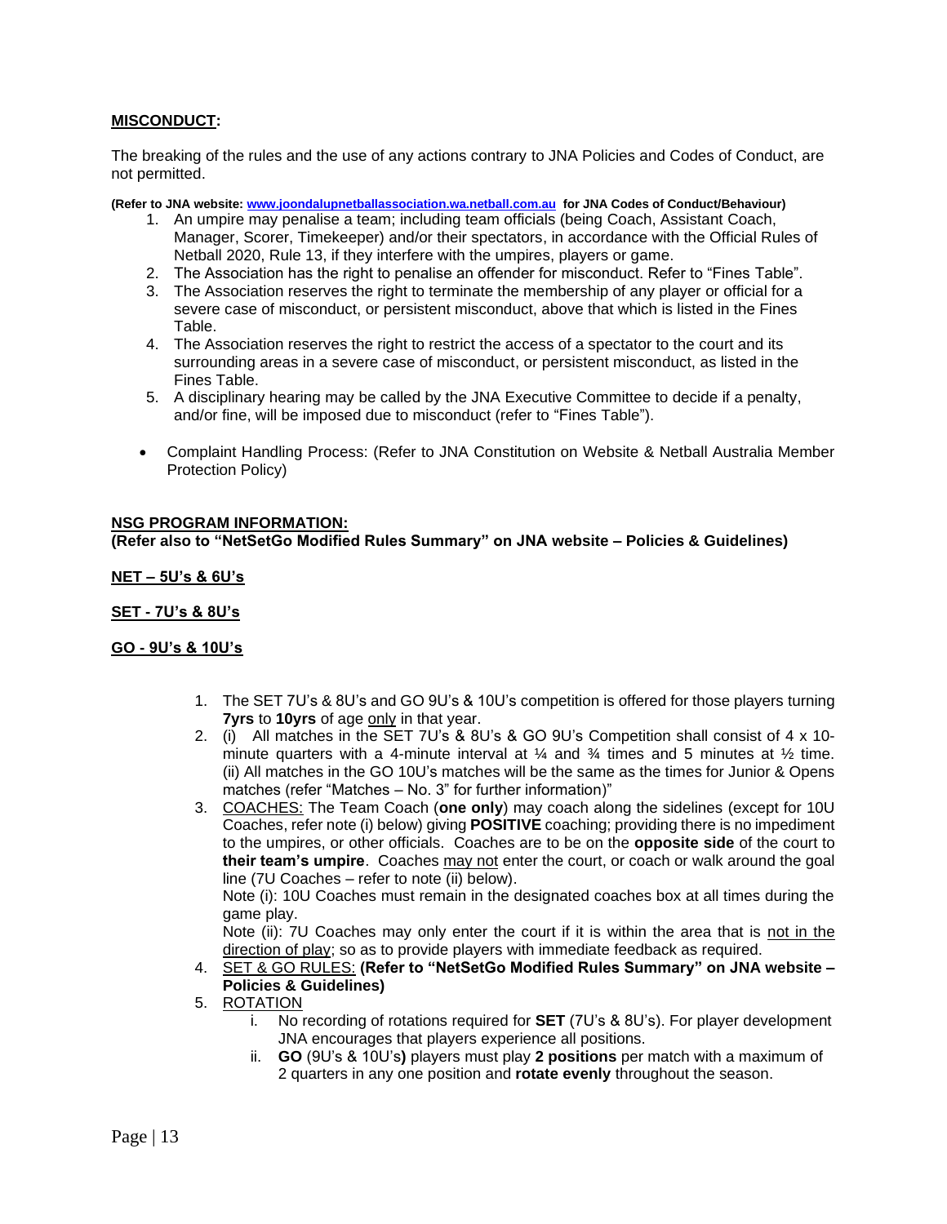## **MISCONDUCT:**

The breaking of the rules and the use of any actions contrary to JNA Policies and Codes of Conduct, are not permitted.

**(Refer to JNA website[: www.joondalupnetballassociation.wa.netball.com.au](http://www.joondalupnetballassociation.wa.netball.com.au/) for JNA Codes of Conduct/Behaviour)**

- 1. An umpire may penalise a team; including team officials (being Coach, Assistant Coach, Manager, Scorer, Timekeeper) and/or their spectators, in accordance with the Official Rules of Netball 2020, Rule 13, if they interfere with the umpires, players or game.
- 2. The Association has the right to penalise an offender for misconduct. Refer to "Fines Table".
- 3. The Association reserves the right to terminate the membership of any player or official for a severe case of misconduct, or persistent misconduct, above that which is listed in the Fines Table.
- 4. The Association reserves the right to restrict the access of a spectator to the court and its surrounding areas in a severe case of misconduct, or persistent misconduct, as listed in the Fines Table.
- 5. A disciplinary hearing may be called by the JNA Executive Committee to decide if a penalty, and/or fine, will be imposed due to misconduct (refer to "Fines Table").
- Complaint Handling Process: (Refer to JNA Constitution on Website & Netball Australia Member Protection Policy)

#### **NSG PROGRAM INFORMATION:**

**(Refer also to "NetSetGo Modified Rules Summary" on JNA website – Policies & Guidelines)**

#### **NET – 5U's & 6U's**

## **SET - 7U's & 8U's**

#### **GO - 9U's & 10U's**

- 1. The SET 7U's & 8U's and GO 9U's & 10U's competition is offered for those players turning **7yrs** to **10yrs** of age only in that year.
- 2. (i) All matches in the SET 7U's & 8U's & GO 9U's Competition shall consist of 4 x 10 minute quarters with a 4-minute interval at  $\frac{1}{4}$  and  $\frac{3}{4}$  times and 5 minutes at  $\frac{1}{2}$  time. (ii) All matches in the GO 10U's matches will be the same as the times for Junior & Opens matches (refer "Matches – No. 3" for further information)"
- 3. COACHES: The Team Coach (**one only**) may coach along the sidelines (except for 10U Coaches, refer note (i) below) giving **POSITIVE** coaching; providing there is no impediment to the umpires, or other officials. Coaches are to be on the **opposite side** of the court to **their team's umpire**. Coaches may not enter the court, or coach or walk around the goal line (7U Coaches – refer to note (ii) below).

Note (i): 10U Coaches must remain in the designated coaches box at all times during the game play.

Note (ii): 7U Coaches may only enter the court if it is within the area that is not in the direction of play; so as to provide players with immediate feedback as required.

4. SET & GO RULES: **(Refer to "NetSetGo Modified Rules Summary" on JNA website – Policies & Guidelines)**

#### 5. ROTATION

- i. No recording of rotations required for **SET** (7U's & 8U's). For player development JNA encourages that players experience all positions.
- ii. **GO** (9U's & 10U's**)** players must play **2 positions** per match with a maximum of 2 quarters in any one position and **rotate evenly** throughout the season.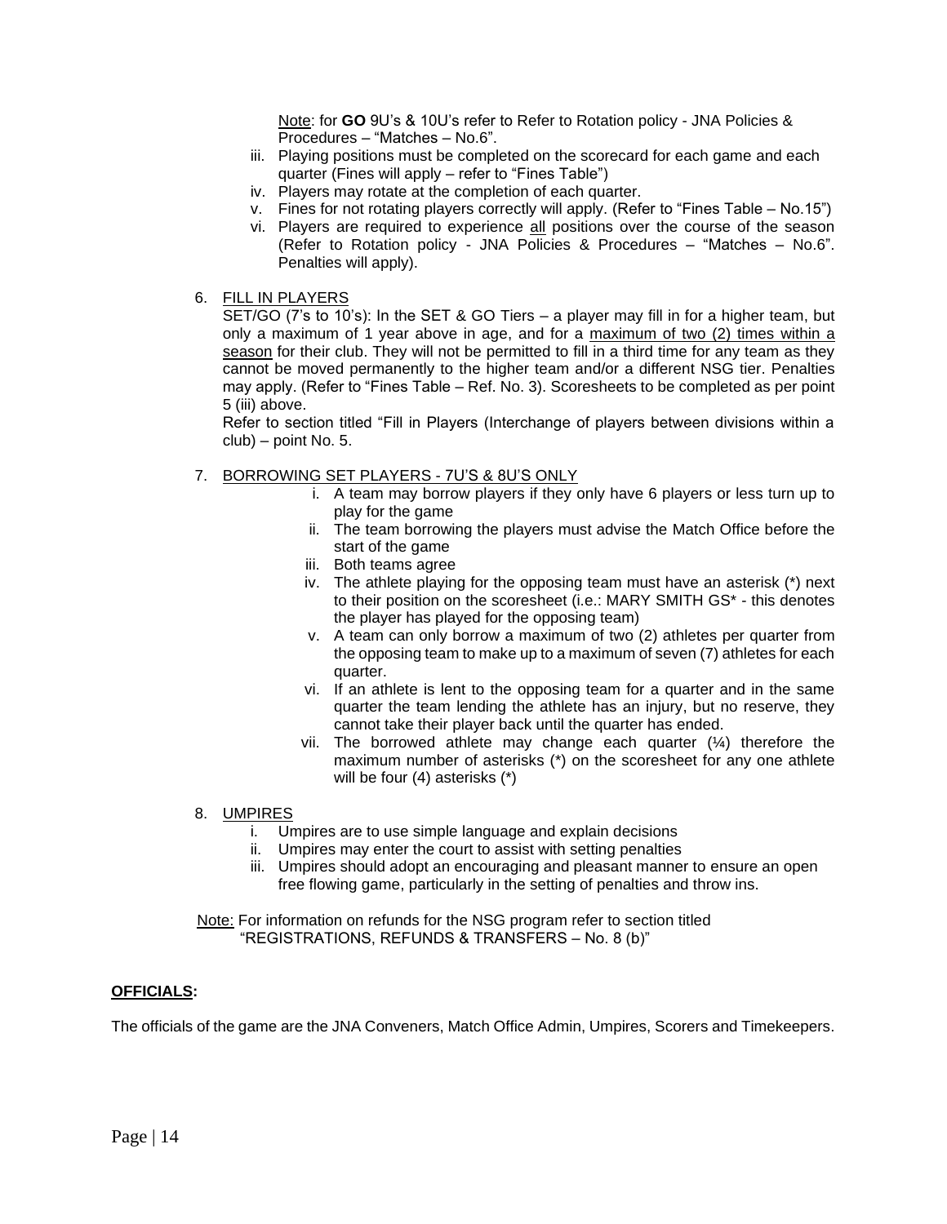Note: for **GO** 9U's & 10U's refer to Refer to Rotation policy - JNA Policies & Procedures – "Matches – No.6".

- iii. Playing positions must be completed on the scorecard for each game and each quarter (Fines will apply – refer to "Fines Table")
- iv. Players may rotate at the completion of each quarter.
- v. Fines for not rotating players correctly will apply. (Refer to "Fines Table No.15")
- vi. Players are required to experience all positions over the course of the season (Refer to Rotation policy - JNA Policies & Procedures – "Matches – No.6". Penalties will apply).
- 6. FILL IN PLAYERS

SET/GO (7's to 10's): In the SET & GO Tiers – a player may fill in for a higher team, but only a maximum of 1 year above in age, and for a maximum of two (2) times within a season for their club. They will not be permitted to fill in a third time for any team as they cannot be moved permanently to the higher team and/or a different NSG tier. Penalties may apply. (Refer to "Fines Table – Ref. No. 3). Scoresheets to be completed as per point 5 (iii) above.

Refer to section titled "Fill in Players (Interchange of players between divisions within a club) – point No. 5.

- 7. BORROWING SET PLAYERS 7U'S & 8U'S ONLY
	- i. A team may borrow players if they only have 6 players or less turn up to play for the game
	- ii. The team borrowing the players must advise the Match Office before the start of the game
	- iii. Both teams agree
	- iv. The athlete playing for the opposing team must have an asterisk (\*) next to their position on the scoresheet (i.e.: MARY SMITH GS\* - this denotes the player has played for the opposing team)
	- v. A team can only borrow a maximum of two (2) athletes per quarter from the opposing team to make up to a maximum of seven (7) athletes for each quarter.
	- vi. If an athlete is lent to the opposing team for a quarter and in the same quarter the team lending the athlete has an injury, but no reserve, they cannot take their player back until the quarter has ended.
	- vii. The borrowed athlete may change each quarter (¼) therefore the maximum number of asterisks (\*) on the scoresheet for any one athlete will be four (4) asterisks (\*)
- 8. UMPIRES
	- i. Umpires are to use simple language and explain decisions
	- ii. Umpires may enter the court to assist with setting penalties
	- iii. Umpires should adopt an encouraging and pleasant manner to ensure an open free flowing game, particularly in the setting of penalties and throw ins.

 Note: For information on refunds for the NSG program refer to section titled "REGISTRATIONS, REFUNDS & TRANSFERS – No. 8 (b)"

#### **OFFICIALS:**

The officials of the game are the JNA Conveners, Match Office Admin, Umpires, Scorers and Timekeepers.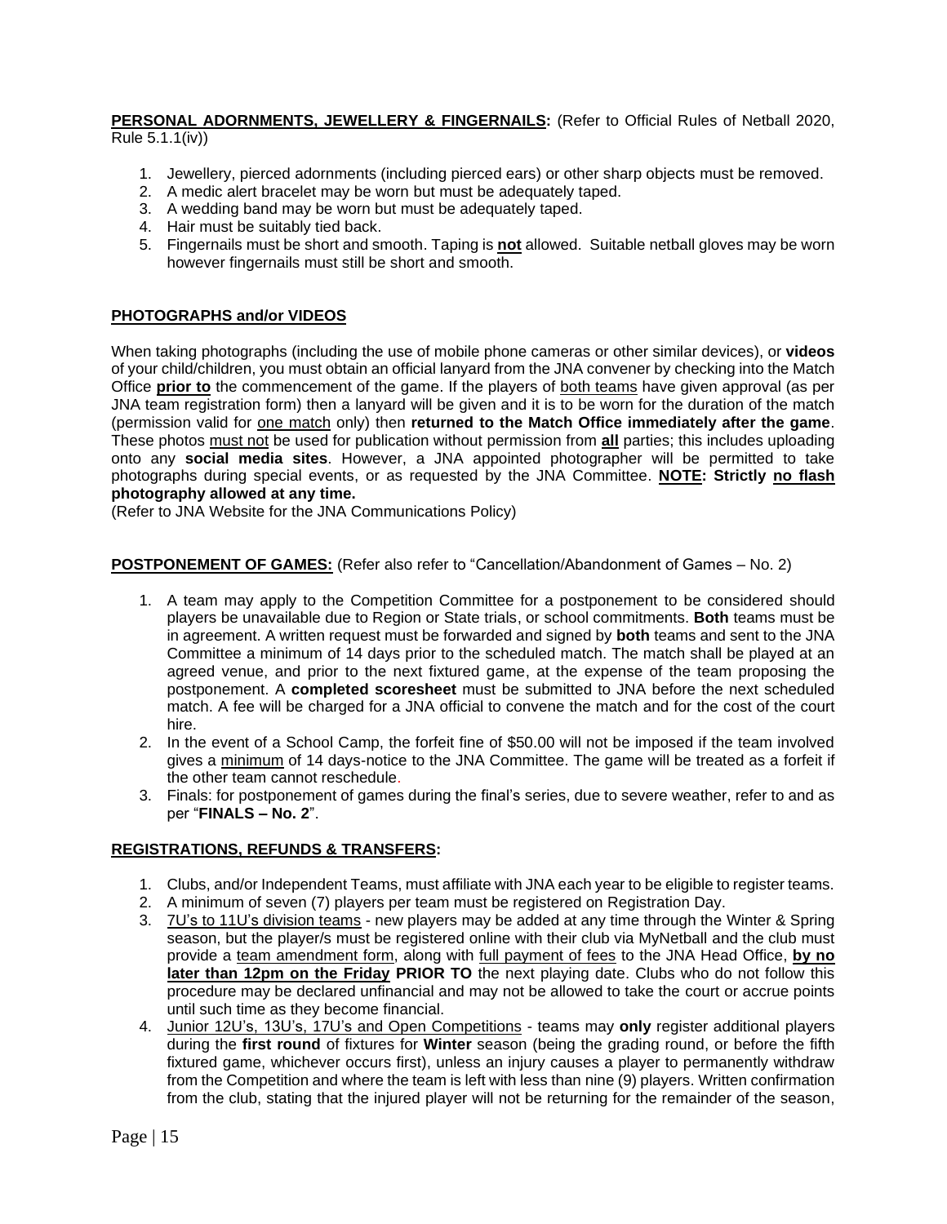#### **PERSONAL ADORNMENTS, JEWELLERY & FINGERNAILS:** (Refer to Official Rules of Netball 2020, Rule 5.1.1(iv))

- 1. Jewellery, pierced adornments (including pierced ears) or other sharp objects must be removed.
- 2. A medic alert bracelet may be worn but must be adequately taped.
- 3. A wedding band may be worn but must be adequately taped.
- 4. Hair must be suitably tied back.
- 5. Fingernails must be short and smooth. Taping is **not** allowed. Suitable netball gloves may be worn however fingernails must still be short and smooth.

## **PHOTOGRAPHS and/or VIDEOS**

When taking photographs (including the use of mobile phone cameras or other similar devices), or **videos** of your child/children, you must obtain an official lanyard from the JNA convener by checking into the Match Office **prior to** the commencement of the game. If the players of both teams have given approval (as per JNA team registration form) then a lanyard will be given and it is to be worn for the duration of the match (permission valid for one match only) then **returned to the Match Office immediately after the game**. These photos must not be used for publication without permission from **all** parties; this includes uploading onto any **social media sites**. However, a JNA appointed photographer will be permitted to take photographs during special events, or as requested by the JNA Committee. **NOTE: Strictly no flash photography allowed at any time.**

(Refer to JNA Website for the JNA Communications Policy)

**POSTPONEMENT OF GAMES:** (Refer also refer to "Cancellation/Abandonment of Games – No. 2)

- 1. A team may apply to the Competition Committee for a postponement to be considered should players be unavailable due to Region or State trials, or school commitments. **Both** teams must be in agreement. A written request must be forwarded and signed by **both** teams and sent to the JNA Committee a minimum of 14 days prior to the scheduled match. The match shall be played at an agreed venue, and prior to the next fixtured game, at the expense of the team proposing the postponement. A **completed scoresheet** must be submitted to JNA before the next scheduled match. A fee will be charged for a JNA official to convene the match and for the cost of the court hire.
- 2. In the event of a School Camp, the forfeit fine of \$50.00 will not be imposed if the team involved gives a minimum of 14 days-notice to the JNA Committee. The game will be treated as a forfeit if the other team cannot reschedule.
- 3. Finals: for postponement of games during the final's series, due to severe weather, refer to and as per "**FINALS – No. 2**".

## **REGISTRATIONS, REFUNDS & TRANSFERS:**

- 1. Clubs, and/or Independent Teams, must affiliate with JNA each year to be eligible to register teams.
- 2. A minimum of seven (7) players per team must be registered on Registration Day.
- 3. 7U's to 11U's division teams new players may be added at any time through the Winter & Spring season, but the player/s must be registered online with their club via MyNetball and the club must provide a team amendment form, along with full payment of fees to the JNA Head Office, **by no later than 12pm on the Friday PRIOR TO** the next playing date. Clubs who do not follow this procedure may be declared unfinancial and may not be allowed to take the court or accrue points until such time as they become financial.
- 4. Junior 12U's, 13U's, 17U's and Open Competitions teams may **only** register additional players during the **first round** of fixtures for **Winter** season (being the grading round, or before the fifth fixtured game, whichever occurs first), unless an injury causes a player to permanently withdraw from the Competition and where the team is left with less than nine (9) players. Written confirmation from the club, stating that the injured player will not be returning for the remainder of the season,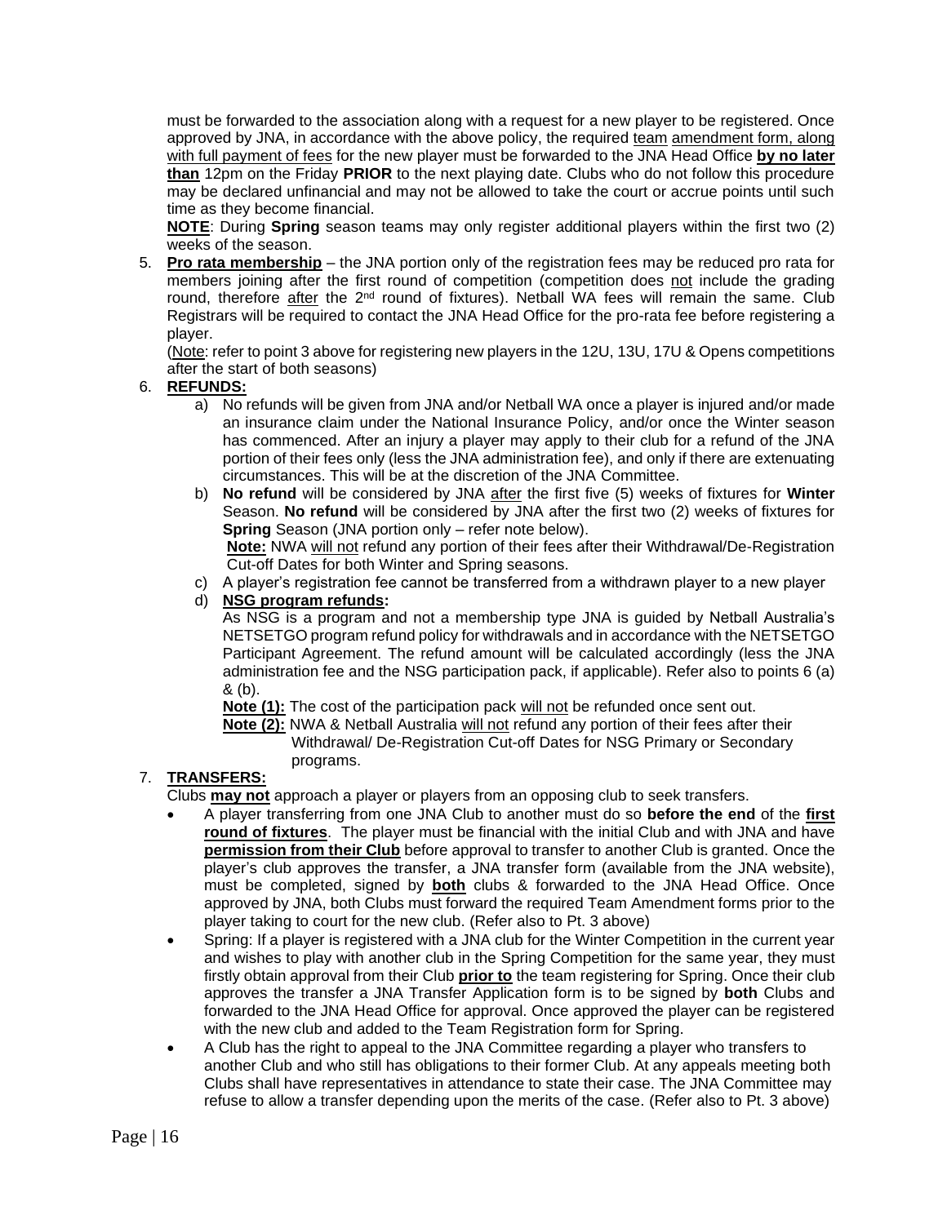must be forwarded to the association along with a request for a new player to be registered. Once approved by JNA, in accordance with the above policy, the required team amendment form, along with full payment of fees for the new player must be forwarded to the JNA Head Office **by no later than** 12pm on the Friday **PRIOR** to the next playing date. Clubs who do not follow this procedure may be declared unfinancial and may not be allowed to take the court or accrue points until such time as they become financial.

**NOTE**: During **Spring** season teams may only register additional players within the first two (2) weeks of the season.

5. **Pro rata membership** – the JNA portion only of the registration fees may be reduced pro rata for members joining after the first round of competition (competition does not include the grading round, therefore after the  $2<sup>nd</sup>$  round of fixtures). Netball WA fees will remain the same. Club Registrars will be required to contact the JNA Head Office for the pro-rata fee before registering a player.

(Note: refer to point 3 above for registering new players in the 12U, 13U, 17U & Opens competitions after the start of both seasons)

## 6. **REFUNDS:**

- a) No refunds will be given from JNA and/or Netball WA once a player is injured and/or made an insurance claim under the National Insurance Policy, and/or once the Winter season has commenced. After an injury a player may apply to their club for a refund of the JNA portion of their fees only (less the JNA administration fee), and only if there are extenuating circumstances. This will be at the discretion of the JNA Committee.
- b) **No refund** will be considered by JNA after the first five (5) weeks of fixtures for **Winter** Season. **No refund** will be considered by JNA after the first two (2) weeks of fixtures for **Spring** Season (JNA portion only – refer note below).

**Note:** NWA will not refund any portion of their fees after their Withdrawal/De-Registration Cut-off Dates for both Winter and Spring seasons.

c) A player's registration fee cannot be transferred from a withdrawn player to a new player

## d) **NSG program refunds:**

As NSG is a program and not a membership type JNA is guided by Netball Australia's NETSETGO program refund policy for withdrawals and in accordance with the NETSETGO Participant Agreement. The refund amount will be calculated accordingly (less the JNA administration fee and the NSG participation pack, if applicable). Refer also to points 6 (a) & (b).

**Note (1):** The cost of the participation pack will not be refunded once sent out.

 **Note (2):** NWA & Netball Australia will not refund any portion of their fees after their Withdrawal/ De-Registration Cut-off Dates for NSG Primary or Secondary programs.

## 7. **TRANSFERS:**

Clubs **may not** approach a player or players from an opposing club to seek transfers.

- A player transferring from one JNA Club to another must do so **before the end** of the **first round of fixtures**. The player must be financial with the initial Club and with JNA and have **permission from their Club** before approval to transfer to another Club is granted. Once the player's club approves the transfer, a JNA transfer form (available from the JNA website), must be completed, signed by **both** clubs & forwarded to the JNA Head Office. Once approved by JNA, both Clubs must forward the required Team Amendment forms prior to the player taking to court for the new club. (Refer also to Pt. 3 above)
- Spring: If a player is registered with a JNA club for the Winter Competition in the current year and wishes to play with another club in the Spring Competition for the same year, they must firstly obtain approval from their Club **prior to** the team registering for Spring. Once their club approves the transfer a JNA Transfer Application form is to be signed by **both** Clubs and forwarded to the JNA Head Office for approval. Once approved the player can be registered with the new club and added to the Team Registration form for Spring.
- A Club has the right to appeal to the JNA Committee regarding a player who transfers to another Club and who still has obligations to their former Club. At any appeals meeting both Clubs shall have representatives in attendance to state their case. The JNA Committee may refuse to allow a transfer depending upon the merits of the case. (Refer also to Pt. 3 above)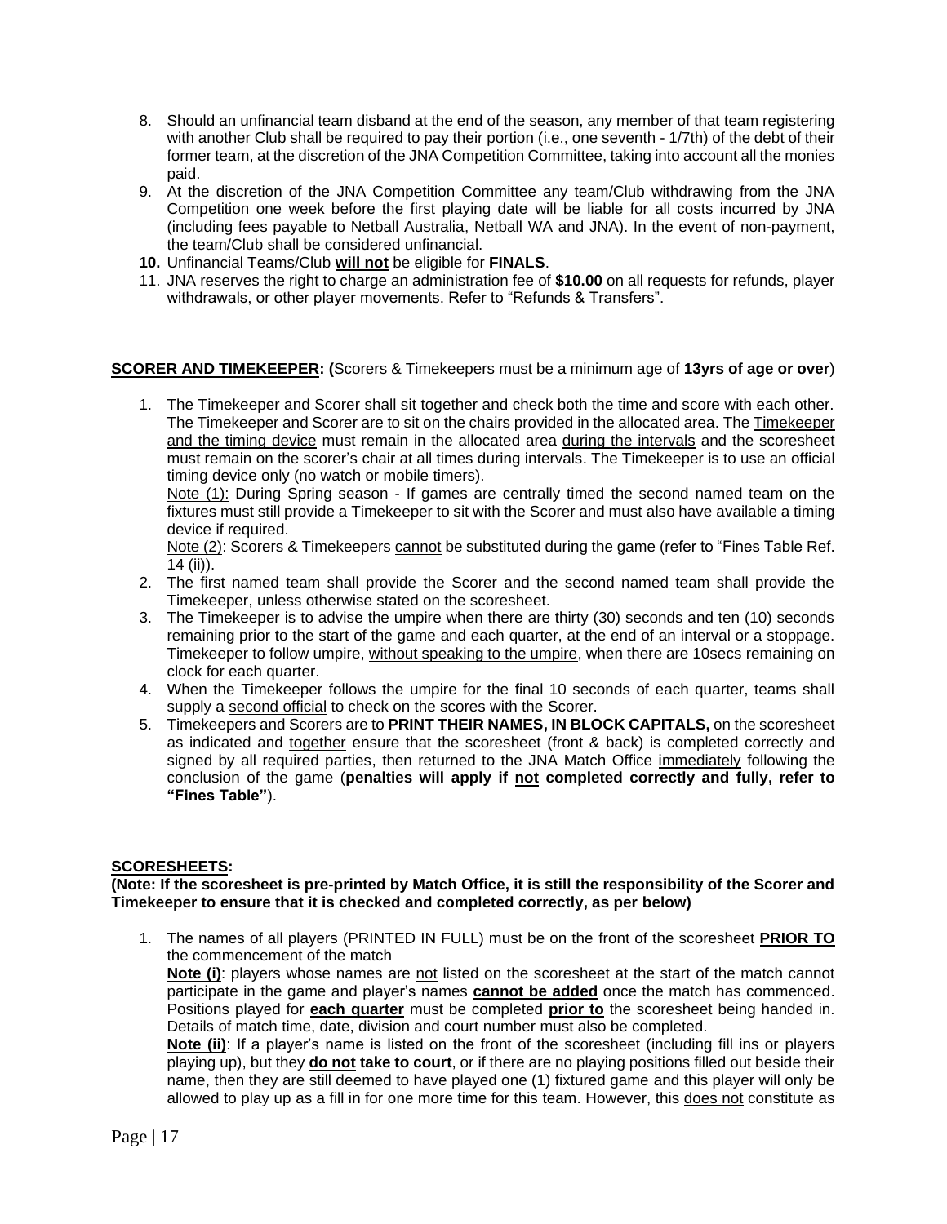- 8. Should an unfinancial team disband at the end of the season, any member of that team registering with another Club shall be required to pay their portion (i.e., one seventh - 1/7th) of the debt of their former team, at the discretion of the JNA Competition Committee, taking into account all the monies paid.
- 9. At the discretion of the JNA Competition Committee any team/Club withdrawing from the JNA Competition one week before the first playing date will be liable for all costs incurred by JNA (including fees payable to Netball Australia, Netball WA and JNA). In the event of non-payment, the team/Club shall be considered unfinancial.
- **10.** Unfinancial Teams/Club **will not** be eligible for **FINALS**.
- 11. JNA reserves the right to charge an administration fee of **\$10.00** on all requests for refunds, player withdrawals, or other player movements. Refer to "Refunds & Transfers".

## **SCORER AND TIMEKEEPER: (**Scorers & Timekeepers must be a minimum age of **13yrs of age or over**)

1. The Timekeeper and Scorer shall sit together and check both the time and score with each other. The Timekeeper and Scorer are to sit on the chairs provided in the allocated area. The Timekeeper and the timing device must remain in the allocated area during the intervals and the scoresheet must remain on the scorer's chair at all times during intervals. The Timekeeper is to use an official timing device only (no watch or mobile timers).

Note (1): During Spring season - If games are centrally timed the second named team on the fixtures must still provide a Timekeeper to sit with the Scorer and must also have available a timing device if required.

Note (2): Scorers & Timekeepers cannot be substituted during the game (refer to "Fines Table Ref. 14 (ii)).

- 2. The first named team shall provide the Scorer and the second named team shall provide the Timekeeper, unless otherwise stated on the scoresheet.
- 3. The Timekeeper is to advise the umpire when there are thirty (30) seconds and ten (10) seconds remaining prior to the start of the game and each quarter, at the end of an interval or a stoppage. Timekeeper to follow umpire, without speaking to the umpire, when there are 10secs remaining on clock for each quarter.
- 4. When the Timekeeper follows the umpire for the final 10 seconds of each quarter, teams shall supply a second official to check on the scores with the Scorer.
- 5. Timekeepers and Scorers are to **PRINT THEIR NAMES, IN BLOCK CAPITALS,** on the scoresheet as indicated and together ensure that the scoresheet (front & back) is completed correctly and signed by all required parties, then returned to the JNA Match Office immediately following the conclusion of the game (**penalties will apply if not completed correctly and fully, refer to "Fines Table"**).

#### **SCORESHEETS:**

#### **(Note: If the scoresheet is pre-printed by Match Office, it is still the responsibility of the Scorer and Timekeeper to ensure that it is checked and completed correctly, as per below)**

1. The names of all players (PRINTED IN FULL) must be on the front of the scoresheet **PRIOR TO** the commencement of the match

**Note (i)**: players whose names are not listed on the scoresheet at the start of the match cannot participate in the game and player's names **cannot be added** once the match has commenced. Positions played for **each quarter** must be completed **prior to** the scoresheet being handed in. Details of match time, date, division and court number must also be completed.

**Note (ii)**: If a player's name is listed on the front of the scoresheet (including fill ins or players playing up), but they **do not take to court**, or if there are no playing positions filled out beside their name, then they are still deemed to have played one (1) fixtured game and this player will only be allowed to play up as a fill in for one more time for this team. However, this does not constitute as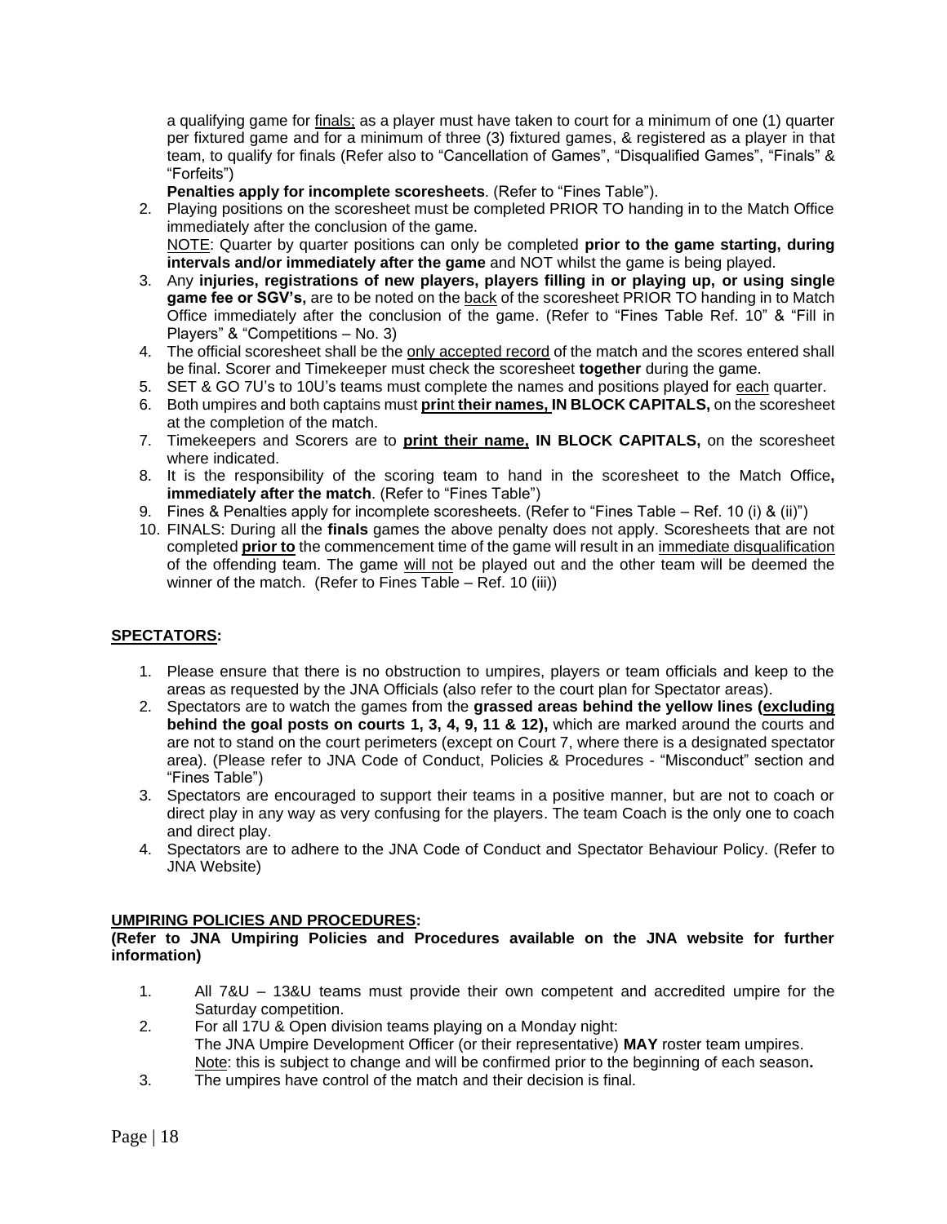a qualifying game for finals; as a player must have taken to court for a minimum of one (1) quarter per fixtured game and for a minimum of three (3) fixtured games, & registered as a player in that team, to qualify for finals (Refer also to "Cancellation of Games", "Disqualified Games", "Finals" & "Forfeits")

**Penalties apply for incomplete scoresheets**. (Refer to "Fines Table").

- 2. Playing positions on the scoresheet must be completed PRIOR TO handing in to the Match Office immediately after the conclusion of the game. NOTE: Quarter by quarter positions can only be completed **prior to the game starting, during intervals and/or immediately after the game** and NOT whilst the game is being played.
- 3. Any **injuries, registrations of new players, players filling in or playing up, or using single game fee or SGV's,** are to be noted on the back of the scoresheet PRIOR TO handing in to Match Office immediately after the conclusion of the game. (Refer to "Fines Table Ref. 10" & "Fill in Players" & "Competitions – No. 3)
- 4. The official scoresheet shall be the only accepted record of the match and the scores entered shall be final. Scorer and Timekeeper must check the scoresheet **together** during the game.
- 5. SET & GO 7U's to 10U's teams must complete the names and positions played for each quarter.
- 6. Both umpires and both captains must **prin**t **their names, IN BLOCK CAPITALS,** on the scoresheet at the completion of the match.
- 7. Timekeepers and Scorers are to **print their name, IN BLOCK CAPITALS,** on the scoresheet where indicated.
- 8. It is the responsibility of the scoring team to hand in the scoresheet to the Match Office**, immediately after the match.** (Refer to "Fines Table")
- 9. Fines & Penalties apply for incomplete scoresheets. (Refer to "Fines Table Ref. 10 (i) & (ii)")
- 10. FINALS: During all the **finals** games the above penalty does not apply. Scoresheets that are not completed **prior to** the commencement time of the game will result in an immediate disqualification of the offending team. The game will not be played out and the other team will be deemed the winner of the match. (Refer to Fines Table – Ref. 10 (iii))

## **SPECTATORS:**

- 1. Please ensure that there is no obstruction to umpires, players or team officials and keep to the areas as requested by the JNA Officials (also refer to the court plan for Spectator areas).
- 2. Spectators are to watch the games from the **grassed areas behind the yellow lines (excluding behind the goal posts on courts 1, 3, 4, 9, 11 & 12),** which are marked around the courts and are not to stand on the court perimeters (except on Court 7, where there is a designated spectator area). (Please refer to JNA Code of Conduct, Policies & Procedures - "Misconduct" section and "Fines Table")
- 3. Spectators are encouraged to support their teams in a positive manner, but are not to coach or direct play in any way as very confusing for the players. The team Coach is the only one to coach and direct play.
- 4. Spectators are to adhere to the JNA Code of Conduct and Spectator Behaviour Policy. (Refer to JNA Website)

## **UMPIRING POLICIES AND PROCEDURES:**

#### **(Refer to JNA Umpiring Policies and Procedures available on the JNA website for further information)**

- 1. All 7&U 13&U teams must provide their own competent and accredited umpire for the Saturday competition.
- 2. For all 17U & Open division teams playing on a Monday night: The JNA Umpire Development Officer (or their representative) **MAY** roster team umpires. Note: this is subject to change and will be confirmed prior to the beginning of each season**.**
- 3. The umpires have control of the match and their decision is final.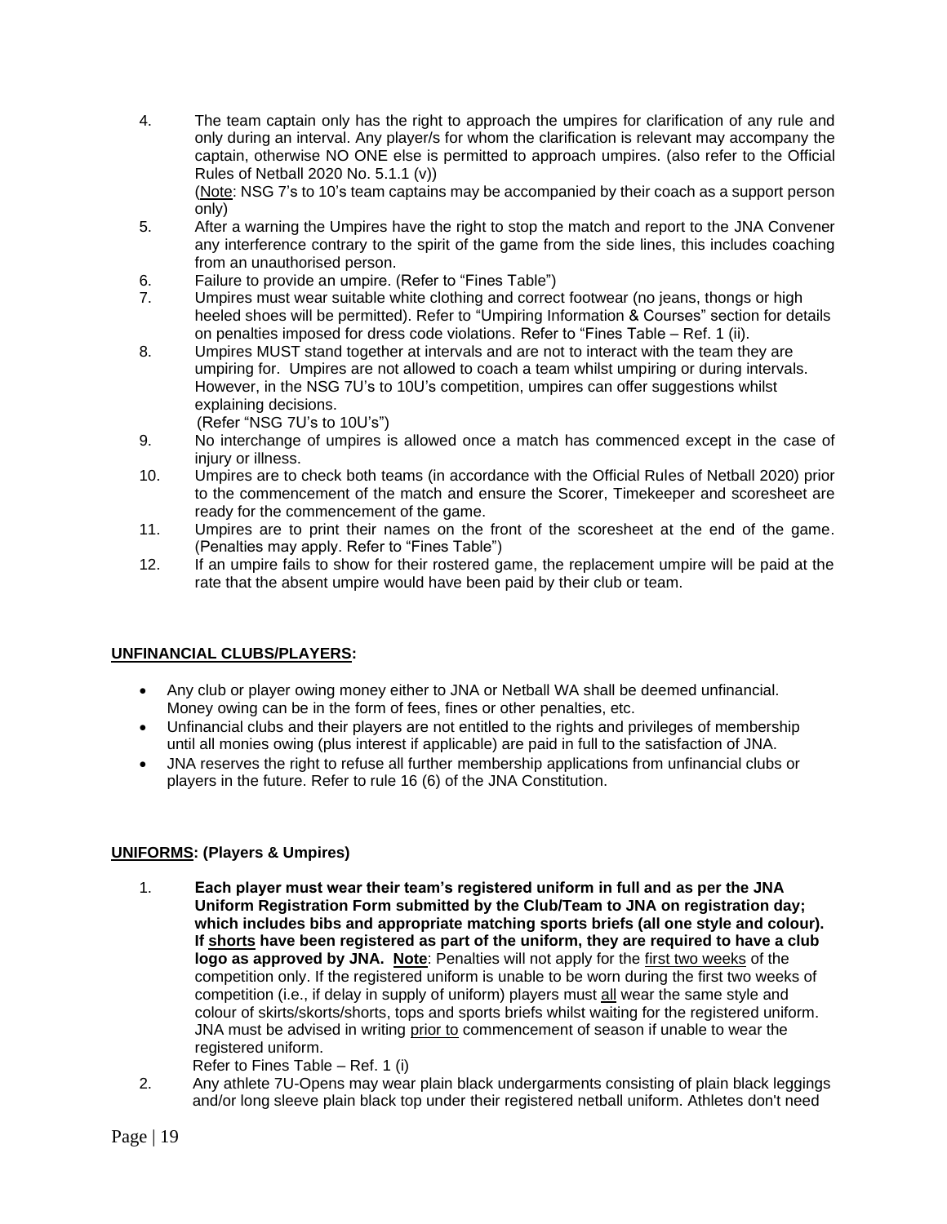4. The team captain only has the right to approach the umpires for clarification of any rule and only during an interval. Any player/s for whom the clarification is relevant may accompany the captain, otherwise NO ONE else is permitted to approach umpires. (also refer to the Official Rules of Netball 2020 No. 5.1.1 (v))

(Note: NSG 7's to 10's team captains may be accompanied by their coach as a support person only)

- 5. After a warning the Umpires have the right to stop the match and report to the JNA Convener any interference contrary to the spirit of the game from the side lines, this includes coaching from an unauthorised person.
- 6. Failure to provide an umpire. (Refer to "Fines Table")
- 7. Umpires must wear suitable white clothing and correct footwear (no jeans, thongs or high heeled shoes will be permitted). Refer to "Umpiring Information & Courses" section for details on penalties imposed for dress code violations. Refer to "Fines Table – Ref. 1 (ii).
- 8. Umpires MUST stand together at intervals and are not to interact with the team they are umpiring for. Umpires are not allowed to coach a team whilst umpiring or during intervals. However, in the NSG 7U's to 10U's competition, umpires can offer suggestions whilst explaining decisions.

(Refer "NSG 7U's to 10U's")

- 9. No interchange of umpires is allowed once a match has commenced except in the case of iniury or illness.
- 10. Umpires are to check both teams (in accordance with the Official Rules of Netball 2020) prior to the commencement of the match and ensure the Scorer, Timekeeper and scoresheet are ready for the commencement of the game.
- 11. Umpires are to print their names on the front of the scoresheet at the end of the game. (Penalties may apply. Refer to "Fines Table")
- 12. If an umpire fails to show for their rostered game, the replacement umpire will be paid at the rate that the absent umpire would have been paid by their club or team.

## **UNFINANCIAL CLUBS/PLAYERS:**

- Any club or player owing money either to JNA or Netball WA shall be deemed unfinancial. Money owing can be in the form of fees, fines or other penalties, etc.
- Unfinancial clubs and their players are not entitled to the rights and privileges of membership until all monies owing (plus interest if applicable) are paid in full to the satisfaction of JNA.
- JNA reserves the right to refuse all further membership applications from unfinancial clubs or players in the future. Refer to rule 16 (6) of the JNA Constitution.

## **UNIFORMS: (Players & Umpires)**

1. **Each player must wear their team's registered uniform in full and as per the JNA Uniform Registration Form submitted by the Club/Team to JNA on registration day; which includes bibs and appropriate matching sports briefs (all one style and colour). If shorts have been registered as part of the uniform, they are required to have a club logo as approved by JNA. Note**: Penalties will not apply for the first two weeks of the competition only. If the registered uniform is unable to be worn during the first two weeks of competition (i.e., if delay in supply of uniform) players must all wear the same style and colour of skirts/skorts/shorts, tops and sports briefs whilst waiting for the registered uniform. JNA must be advised in writing prior to commencement of season if unable to wear the registered uniform.

Refer to Fines Table – Ref. 1 (i)

2. Any athlete 7U-Opens may wear plain black undergarments consisting of plain black leggings and/or long sleeve plain black top under their registered netball uniform. Athletes don't need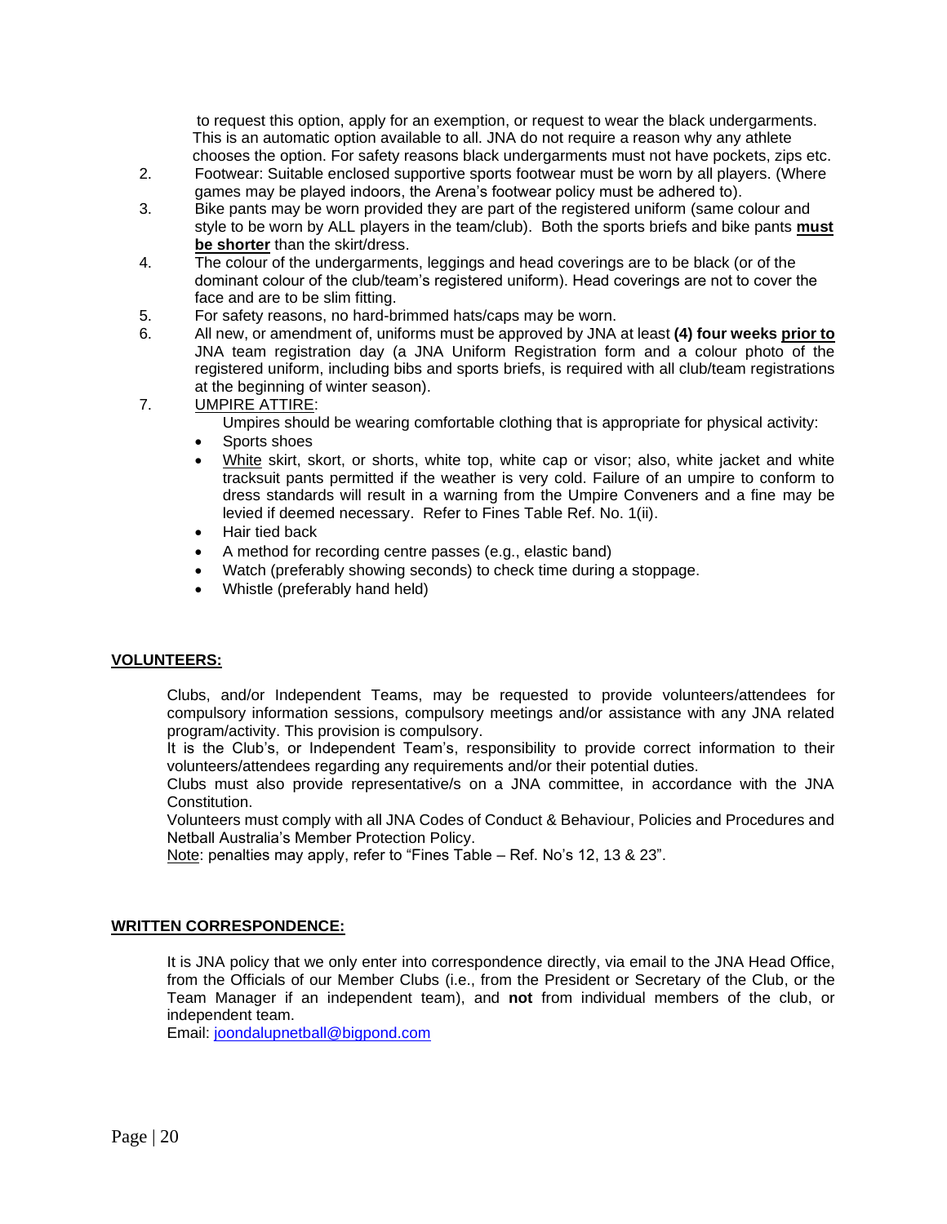to request this option, apply for an exemption, or request to wear the black undergarments. This is an automatic option available to all. JNA do not require a reason why any athlete chooses the option. For safety reasons black undergarments must not have pockets, zips etc.

- 2. Footwear: Suitable enclosed supportive sports footwear must be worn by all players. (Where games may be played indoors, the Arena's footwear policy must be adhered to).
- 3. Bike pants may be worn provided they are part of the registered uniform (same colour and style to be worn by ALL players in the team/club). Both the sports briefs and bike pants **must be shorter** than the skirt/dress.
- 4. The colour of the undergarments, leggings and head coverings are to be black (or of the dominant colour of the club/team's registered uniform). Head coverings are not to cover the face and are to be slim fitting.
- 5. For safety reasons, no hard-brimmed hats/caps may be worn.
- 6. All new, or amendment of, uniforms must be approved by JNA at least **(4) four weeks prior to** JNA team registration day (a JNA Uniform Registration form and a colour photo of the registered uniform, including bibs and sports briefs, is required with all club/team registrations at the beginning of winter season).
- 7. UMPIRE ATTIRE:
	- Umpires should be wearing comfortable clothing that is appropriate for physical activity:
	- Sports shoes
	- White skirt, skort, or shorts, white top, white cap or visor; also, white jacket and white tracksuit pants permitted if the weather is very cold. Failure of an umpire to conform to dress standards will result in a warning from the Umpire Conveners and a fine may be levied if deemed necessary. Refer to Fines Table Ref. No. 1(ii).
	- Hair tied back
	- A method for recording centre passes (e.g., elastic band)
	- Watch (preferably showing seconds) to check time during a stoppage.
	- Whistle (preferably hand held)

#### **VOLUNTEERS:**

Clubs, and/or Independent Teams, may be requested to provide volunteers/attendees for compulsory information sessions, compulsory meetings and/or assistance with any JNA related program/activity. This provision is compulsory.

It is the Club's, or Independent Team's, responsibility to provide correct information to their volunteers/attendees regarding any requirements and/or their potential duties.

 Clubs must also provide representative/s on a JNA committee, in accordance with the JNA Constitution.

Volunteers must comply with all JNA Codes of Conduct & Behaviour, Policies and Procedures and Netball Australia's Member Protection Policy.

Note: penalties may apply, refer to "Fines Table – Ref. No's 12, 13 & 23".

#### **WRITTEN CORRESPONDENCE:**

It is JNA policy that we only enter into correspondence directly, via email to the JNA Head Office, from the Officials of our Member Clubs (i.e., from the President or Secretary of the Club, or the Team Manager if an independent team), and **not** from individual members of the club, or independent team.

Email: [joondalupnetball@bigpond.com](mailto:joondalupnetball@bigpond.com)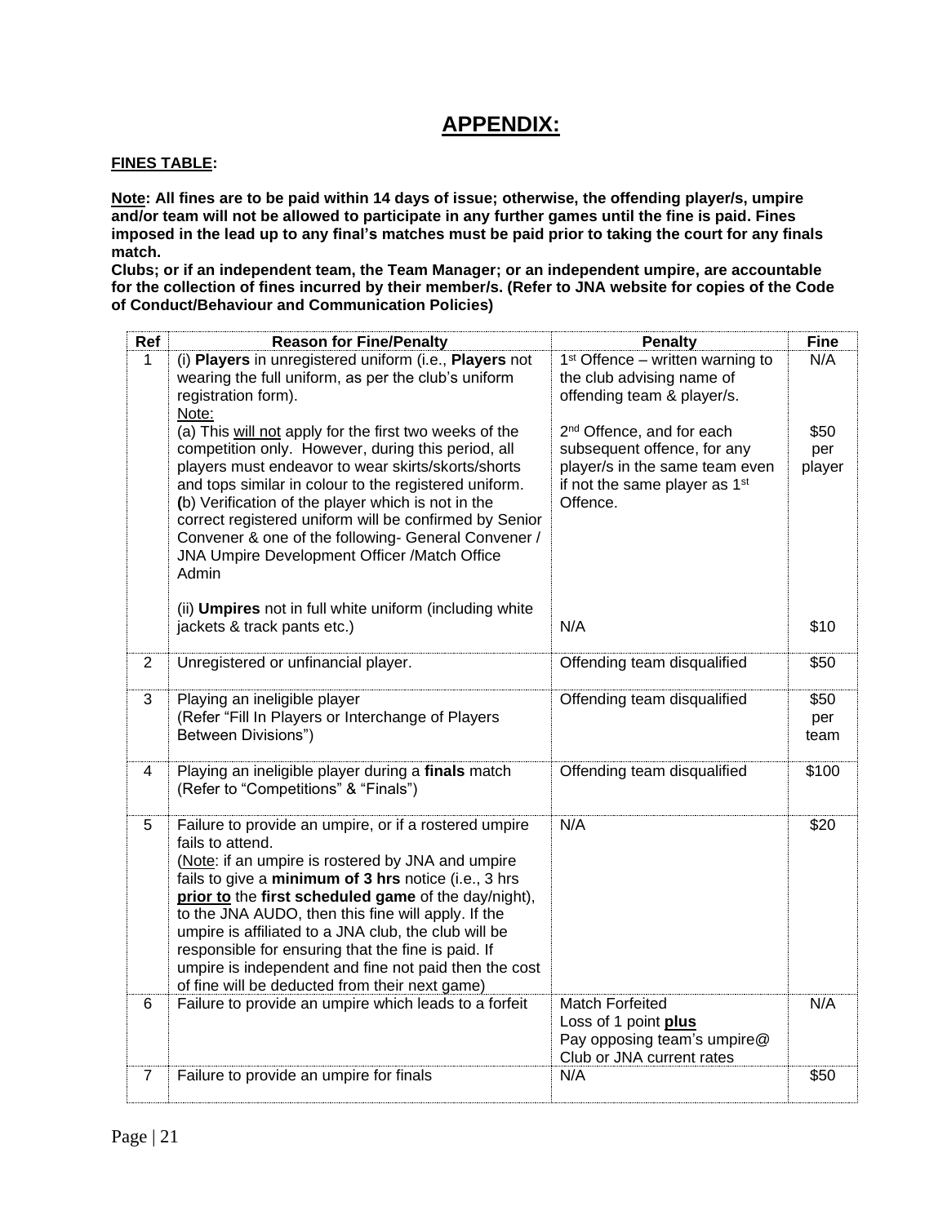## **APPENDIX:**

### **FINES TABLE:**

**Note: All fines are to be paid within 14 days of issue; otherwise, the offending player/s, umpire and/or team will not be allowed to participate in any further games until the fine is paid. Fines imposed in the lead up to any final's matches must be paid prior to taking the court for any finals match.**

**Clubs; or if an independent team, the Team Manager; or an independent umpire, are accountable for the collection of fines incurred by their member/s. (Refer to JNA website for copies of the Code of Conduct/Behaviour and Communication Policies)**

| Ref            | <b>Reason for Fine/Penalty</b>                                                                                | <b>Penalty</b>                            | <b>Fine</b> |
|----------------|---------------------------------------------------------------------------------------------------------------|-------------------------------------------|-------------|
| $\mathbf 1$    | (i) Players in unregistered uniform (i.e., Players not                                                        | $1st$ Offence – written warning to        | N/A         |
|                | wearing the full uniform, as per the club's uniform                                                           | the club advising name of                 |             |
|                | registration form).<br>Note:                                                                                  | offending team & player/s.                |             |
|                | (a) This will not apply for the first two weeks of the                                                        | 2 <sup>nd</sup> Offence, and for each     | \$50        |
|                | competition only. However, during this period, all                                                            | subsequent offence, for any               | per         |
|                | players must endeavor to wear skirts/skorts/shorts                                                            | player/s in the same team even            | player      |
|                | and tops similar in colour to the registered uniform.                                                         | if not the same player as 1 <sup>st</sup> |             |
|                | (b) Verification of the player which is not in the                                                            | Offence.                                  |             |
|                | correct registered uniform will be confirmed by Senior<br>Convener & one of the following- General Convener / |                                           |             |
|                | JNA Umpire Development Officer /Match Office                                                                  |                                           |             |
|                | Admin                                                                                                         |                                           |             |
|                |                                                                                                               |                                           |             |
|                | (ii) <b>Umpires</b> not in full white uniform (including white                                                |                                           |             |
|                | jackets & track pants etc.)                                                                                   | N/A                                       | \$10        |
| $\overline{2}$ | Unregistered or unfinancial player.                                                                           | Offending team disqualified               | \$50        |
|                |                                                                                                               |                                           |             |
| 3              | Playing an ineligible player                                                                                  | Offending team disqualified               | \$50        |
|                | (Refer "Fill In Players or Interchange of Players                                                             |                                           | per         |
|                | Between Divisions")                                                                                           |                                           | team        |
| 4              | Playing an ineligible player during a finals match                                                            | Offending team disqualified               | \$100       |
|                | (Refer to "Competitions" & "Finals")                                                                          |                                           |             |
|                |                                                                                                               |                                           |             |
| 5              | Failure to provide an umpire, or if a rostered umpire                                                         | N/A                                       | \$20        |
|                | fails to attend.<br>(Note: if an umpire is rostered by JNA and umpire                                         |                                           |             |
|                | fails to give a minimum of 3 hrs notice (i.e., 3 hrs                                                          |                                           |             |
|                | prior to the first scheduled game of the day/night),                                                          |                                           |             |
|                | to the JNA AUDO, then this fine will apply. If the                                                            |                                           |             |
|                | umpire is affiliated to a JNA club, the club will be                                                          |                                           |             |
|                | responsible for ensuring that the fine is paid. If                                                            |                                           |             |
|                | umpire is independent and fine not paid then the cost<br>of fine will be deducted from their next game)       |                                           |             |
| 6              | Failure to provide an umpire which leads to a forfeit                                                         | Match Forfeited                           | N/A         |
|                |                                                                                                               | Loss of 1 point plus                      |             |
|                |                                                                                                               | Pay opposing team's umpire@               |             |
|                |                                                                                                               | Club or JNA current rates                 |             |
| $\overline{7}$ | Failure to provide an umpire for finals                                                                       | N/A                                       | \$50        |
|                |                                                                                                               |                                           |             |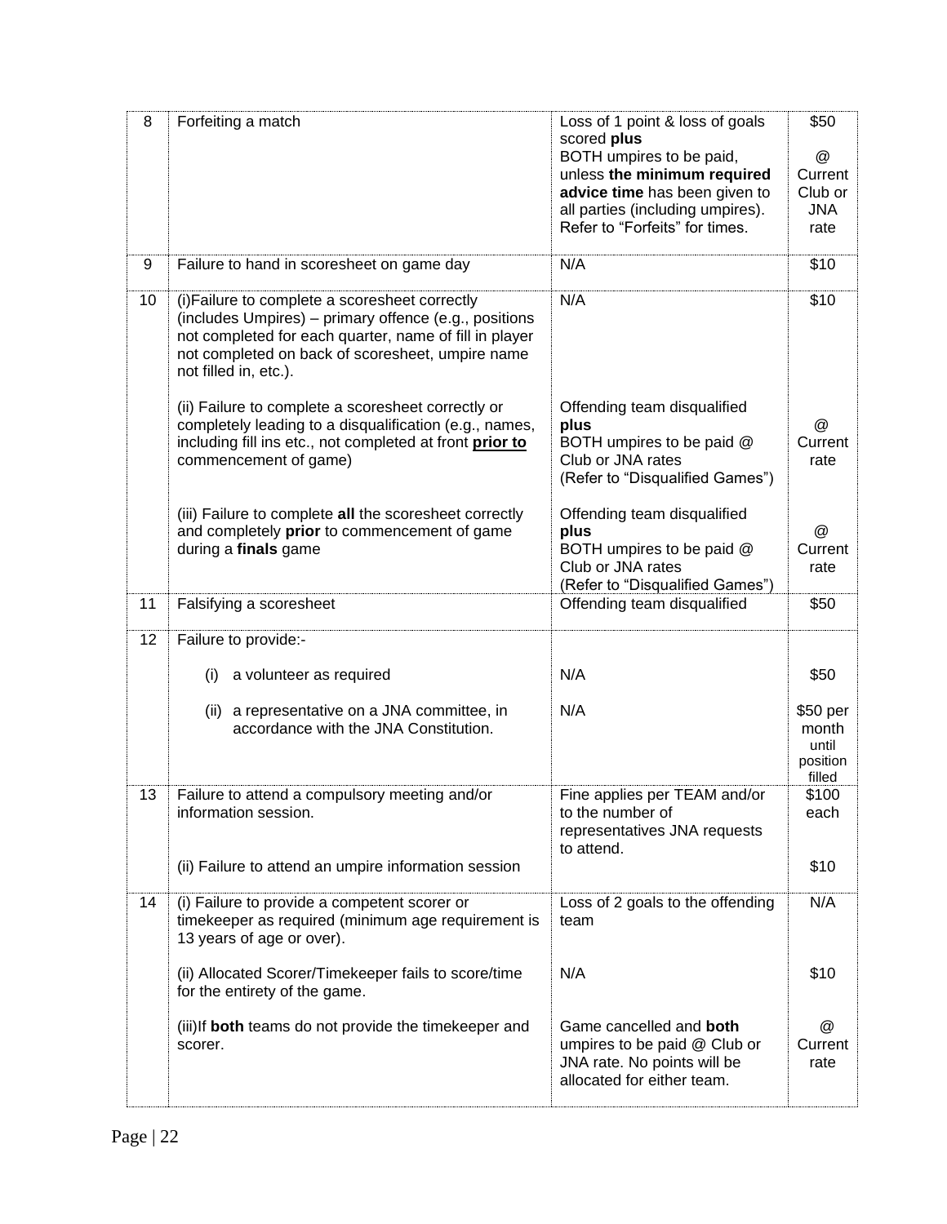| 8  | Forfeiting a match                                                                                                                                                                                                                             | Loss of 1 point & loss of goals<br>scored plus<br>BOTH umpires to be paid,<br>unless the minimum required<br>advice time has been given to<br>all parties (including umpires).<br>Refer to "Forfeits" for times. | \$50<br>$\omega$<br>Current<br>Club or<br><b>JNA</b><br>rate |
|----|------------------------------------------------------------------------------------------------------------------------------------------------------------------------------------------------------------------------------------------------|------------------------------------------------------------------------------------------------------------------------------------------------------------------------------------------------------------------|--------------------------------------------------------------|
| 9  | Failure to hand in scoresheet on game day                                                                                                                                                                                                      | N/A                                                                                                                                                                                                              | \$10                                                         |
| 10 | (i) Failure to complete a scoresheet correctly<br>(includes Umpires) – primary offence (e.g., positions<br>not completed for each quarter, name of fill in player<br>not completed on back of scoresheet, umpire name<br>not filled in, etc.). | N/A                                                                                                                                                                                                              | \$10                                                         |
|    | (ii) Failure to complete a scoresheet correctly or<br>completely leading to a disqualification (e.g., names,<br>including fill ins etc., not completed at front prior to<br>commencement of game)                                              | Offending team disqualified<br>plus<br>BOTH umpires to be paid @<br>Club or JNA rates<br>(Refer to "Disqualified Games")                                                                                         | @<br>Current<br>rate                                         |
|    | (iii) Failure to complete all the scoresheet correctly<br>and completely prior to commencement of game<br>during a finals game                                                                                                                 | Offending team disqualified<br>plus<br>BOTH umpires to be paid @<br>Club or JNA rates<br>(Refer to "Disqualified Games")                                                                                         | $^\copyright$<br>Current<br>rate                             |
| 11 | Falsifying a scoresheet                                                                                                                                                                                                                        | Offending team disqualified                                                                                                                                                                                      | \$50                                                         |
| 12 | Failure to provide:-                                                                                                                                                                                                                           |                                                                                                                                                                                                                  |                                                              |
|    | a volunteer as required<br>(i)                                                                                                                                                                                                                 | N/A                                                                                                                                                                                                              | \$50                                                         |
|    | a representative on a JNA committee, in<br>(ii)<br>accordance with the JNA Constitution.                                                                                                                                                       | N/A                                                                                                                                                                                                              | \$50 per<br>month<br>until<br>position<br>filled             |
| 13 | Failure to attend a compulsory meeting and/or<br>information session.                                                                                                                                                                          | Fine applies per TEAM and/or<br>to the number of<br>representatives JNA requests<br>to attend.                                                                                                                   | \$100<br>each                                                |
|    | (ii) Failure to attend an umpire information session                                                                                                                                                                                           |                                                                                                                                                                                                                  | \$10                                                         |
| 14 | (i) Failure to provide a competent scorer or<br>timekeeper as required (minimum age requirement is<br>13 years of age or over).                                                                                                                | Loss of 2 goals to the offending<br>team                                                                                                                                                                         | N/A                                                          |
|    | (ii) Allocated Scorer/Timekeeper fails to score/time<br>for the entirety of the game.                                                                                                                                                          | N/A                                                                                                                                                                                                              | \$10                                                         |
|    | (iii) If both teams do not provide the timekeeper and<br>scorer.                                                                                                                                                                               | Game cancelled and both<br>umpires to be paid @ Club or<br>JNA rate. No points will be<br>allocated for either team.                                                                                             | $^{\textregistered}$<br>Current<br>rate                      |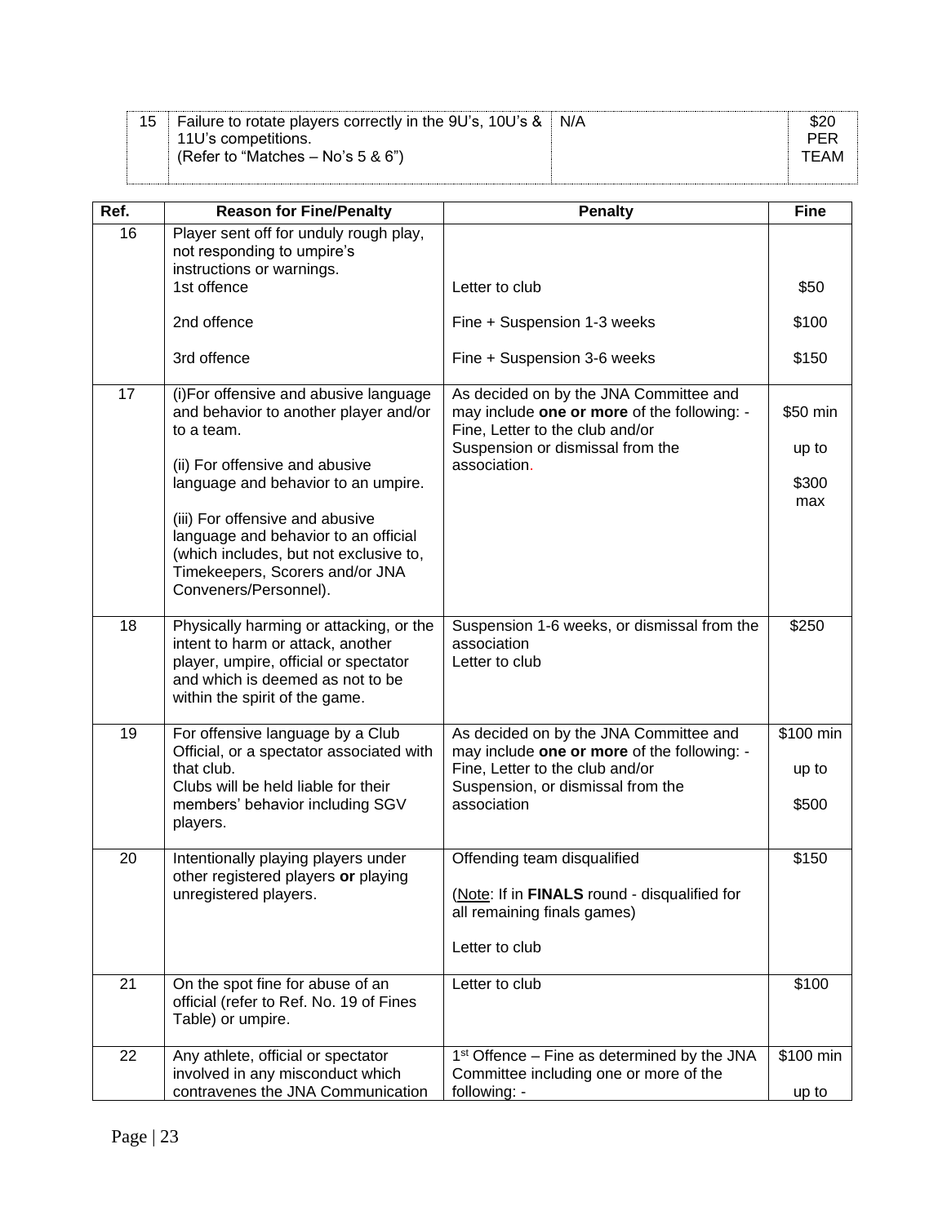| <b>Failure to rotate players correctly in the 9U's, 10U's &amp; N/A</b> |      |
|-------------------------------------------------------------------------|------|
| 11U's competitions.                                                     | PFR  |
| (Refer to "Matches $-$ No's 5 & 6")                                     | TFAM |
|                                                                         |      |

| Ref.            | <b>Reason for Fine/Penalty</b>                                                                                                                                                              | <b>Penalty</b>                                                                                                                                                               | <b>Fine</b>                 |
|-----------------|---------------------------------------------------------------------------------------------------------------------------------------------------------------------------------------------|------------------------------------------------------------------------------------------------------------------------------------------------------------------------------|-----------------------------|
| 16              | Player sent off for unduly rough play,<br>not responding to umpire's<br>instructions or warnings.                                                                                           |                                                                                                                                                                              |                             |
|                 | 1st offence                                                                                                                                                                                 | Letter to club                                                                                                                                                               | \$50                        |
|                 | 2nd offence                                                                                                                                                                                 | Fine + Suspension 1-3 weeks                                                                                                                                                  | \$100                       |
|                 | 3rd offence                                                                                                                                                                                 | Fine + Suspension 3-6 weeks                                                                                                                                                  | \$150                       |
| 17              | (i) For offensive and abusive language<br>and behavior to another player and/or<br>to a team.                                                                                               | As decided on by the JNA Committee and<br>may include one or more of the following: -<br>Fine, Letter to the club and/or                                                     | \$50 min                    |
|                 | (ii) For offensive and abusive                                                                                                                                                              | Suspension or dismissal from the<br>association.                                                                                                                             | up to                       |
|                 | language and behavior to an umpire.                                                                                                                                                         |                                                                                                                                                                              | \$300<br>max                |
|                 | (iii) For offensive and abusive<br>language and behavior to an official<br>(which includes, but not exclusive to,<br>Timekeepers, Scorers and/or JNA<br>Conveners/Personnel).               |                                                                                                                                                                              |                             |
| 18              | Physically harming or attacking, or the<br>intent to harm or attack, another<br>player, umpire, official or spectator<br>and which is deemed as not to be<br>within the spirit of the game. | Suspension 1-6 weeks, or dismissal from the<br>association<br>Letter to club                                                                                                 | \$250                       |
| 19              | For offensive language by a Club<br>Official, or a spectator associated with<br>that club.<br>Clubs will be held liable for their<br>members' behavior including SGV<br>players.            | As decided on by the JNA Committee and<br>may include one or more of the following: -<br>Fine, Letter to the club and/or<br>Suspension, or dismissal from the<br>association | \$100 min<br>up to<br>\$500 |
| 20              | Intentionally playing players under<br>other registered players or playing<br>unregistered players.                                                                                         | Offending team disqualified<br>(Note: If in FINALS round - disqualified for<br>all remaining finals games)<br>Letter to club                                                 | \$150                       |
| $\overline{21}$ | On the spot fine for abuse of an<br>official (refer to Ref. No. 19 of Fines<br>Table) or umpire.                                                                                            | Letter to club                                                                                                                                                               | \$100                       |
| 22              | Any athlete, official or spectator<br>involved in any misconduct which<br>contravenes the JNA Communication                                                                                 | 1 <sup>st</sup> Offence – Fine as determined by the JNA<br>Committee including one or more of the<br>following: -                                                            | \$100 min<br>up to          |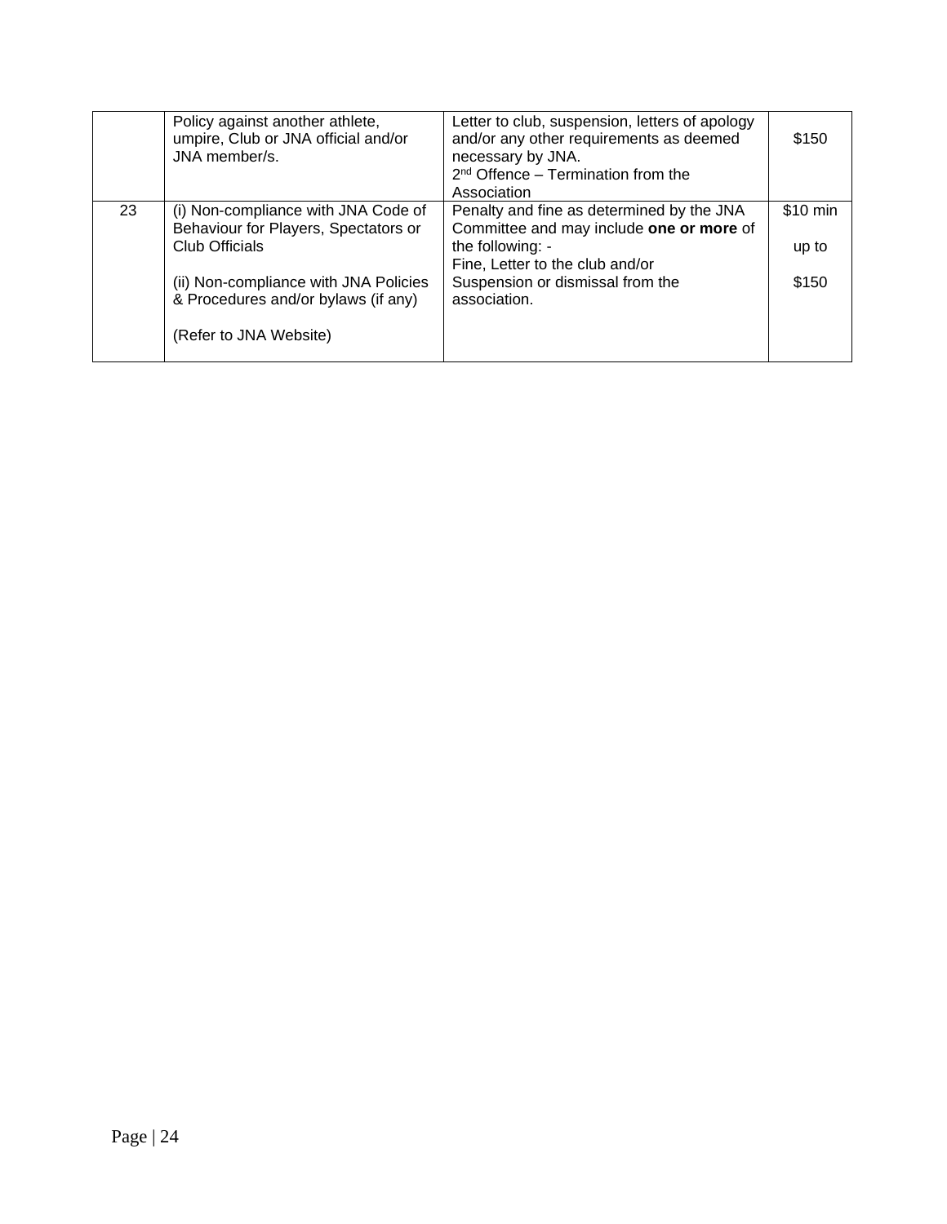|    | Policy against another athlete,<br>umpire, Club or JNA official and/or<br>JNA member/s.                | Letter to club, suspension, letters of apology<br>and/or any other requirements as deemed<br>necessary by JNA.<br>$2nd$ Offence – Termination from the<br>Association | \$150             |
|----|--------------------------------------------------------------------------------------------------------|-----------------------------------------------------------------------------------------------------------------------------------------------------------------------|-------------------|
| 23 | (i) Non-compliance with JNA Code of<br>Behaviour for Players, Spectators or<br>Club Officials          | Penalty and fine as determined by the JNA<br>Committee and may include one or more of<br>the following: -<br>Fine, Letter to the club and/or                          | \$10 min<br>up to |
|    | (ii) Non-compliance with JNA Policies<br>& Procedures and/or bylaws (if any)<br>(Refer to JNA Website) | Suspension or dismissal from the<br>association.                                                                                                                      | \$150             |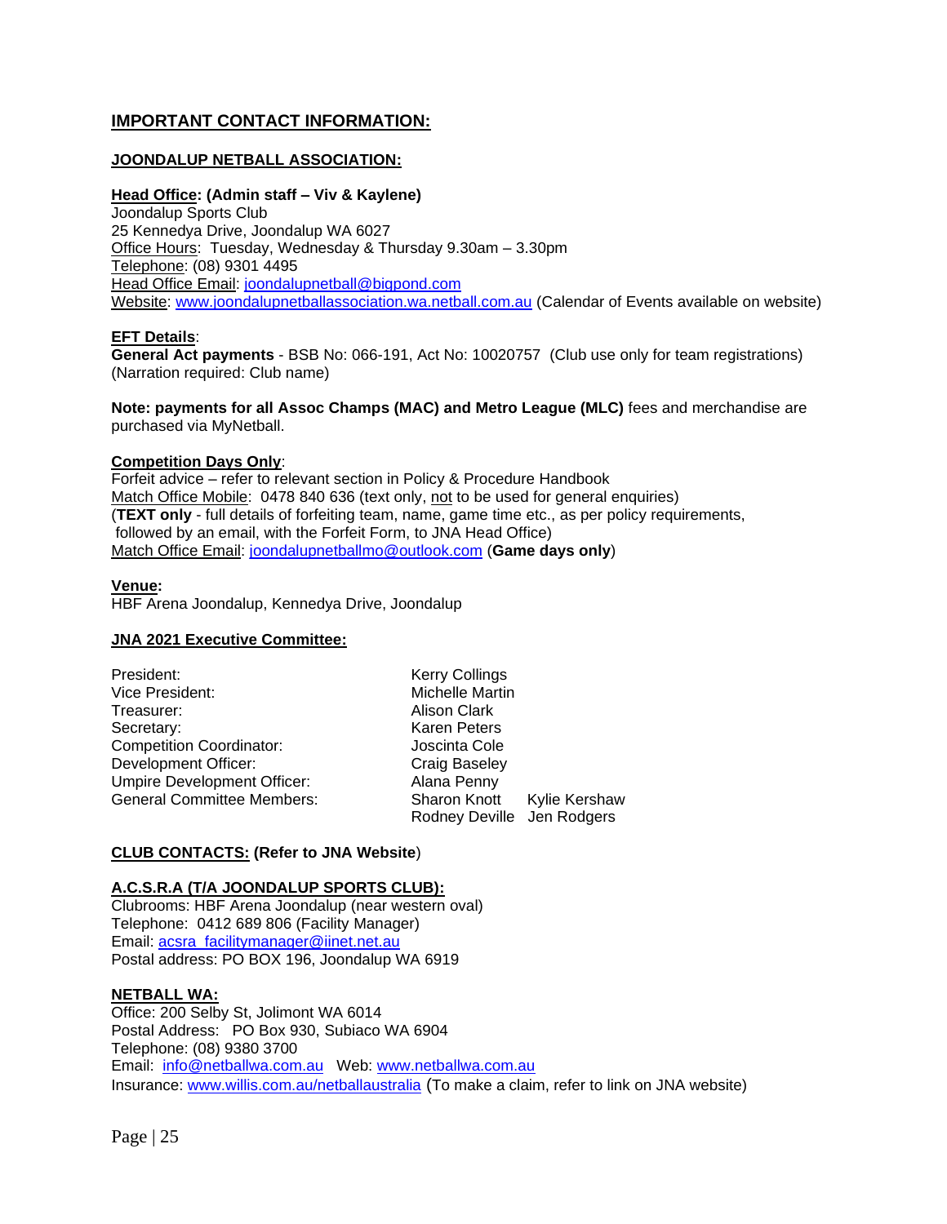## **IMPORTANT CONTACT INFORMATION:**

## **JOONDALUP NETBALL ASSOCIATION:**

#### **Head Office: (Admin staff – Viv & Kaylene)**

Joondalup Sports Club 25 Kennedya Drive, Joondalup WA 6027 Office Hours: Tuesday, Wednesday & Thursday 9.30am – 3.30pm Telephone: (08) 9301 4495 Head Office Email: [joondalupnetball@bigpond.com](mailto:joondalupnetball@bigpond.com) Website: [www.joondalupnetballassociation.wa.netball.com.au](http://www.joondalupnetballassociation.wa.netball.com.au/) (Calendar of Events available on website)

#### **EFT Details**:

**General Act payments** - BSB No: 066-191, Act No: 10020757 (Club use only for team registrations) (Narration required: Club name)

**Note: payments for all Assoc Champs (MAC) and Metro League (MLC)** fees and merchandise are purchased via MyNetball.

#### **Competition Days Only**:

Forfeit advice – refer to relevant section in Policy & Procedure Handbook Match Office Mobile: 0478 840 636 (text only, not to be used for general enquiries) (**TEXT only** - full details of forfeiting team, name, game time etc., as per policy requirements, followed by an email, with the Forfeit Form, to JNA Head Office) Match Office Email: [joondalupnetballmo@outlook.com](mailto:joondalupnetballmo@outlook.com) (**Game days only**)

#### **Venue:**

HBF Arena Joondalup, Kennedya Drive, Joondalup

#### **JNA 2021 Executive Committee:**

| President:                         | <b>Kerry Collings</b> |               |
|------------------------------------|-----------------------|---------------|
| Vice President:                    | Michelle Martin       |               |
| Treasurer:                         | Alison Clark          |               |
| Secretary:                         | <b>Karen Peters</b>   |               |
| <b>Competition Coordinator:</b>    | Joscinta Cole         |               |
| Development Officer:               | Craig Baseley         |               |
| <b>Umpire Development Officer:</b> | Alana Penny           |               |
| <b>General Committee Members:</b>  | <b>Sharon Knott</b>   | Kylie Kershaw |
|                                    | Rodney Deville        | Jen Rodgers   |

#### **CLUB CONTACTS: (Refer to JNA Website**)

#### **A.C.S.R.A (T/A JOONDALUP SPORTS CLUB):**

Clubrooms: HBF Arena Joondalup (near western oval) Telephone: 0412 689 806 (Facility Manager) Email: [acsra\\_facilitymanager@iinet.net.au](mailto:acsra_facilitymanager@iinet.net.au) Postal address: PO BOX 196, Joondalup WA 6919

#### **NETBALL WA:**

Office: 200 Selby St, Jolimont WA 6014 Postal Address: PO Box 930, Subiaco WA 6904 Telephone: (08) 9380 3700 Email: [info@netballwa.com.au](mailto:info@netballwa.com.au) Web: [www.netballwa.com.au](http://www.netballwa.com.au/) Insurance: [www.willis.com.au/netballaustralia](http://www.willis.com.au/netballaustralia) (To make a claim, refer to link on JNA website)